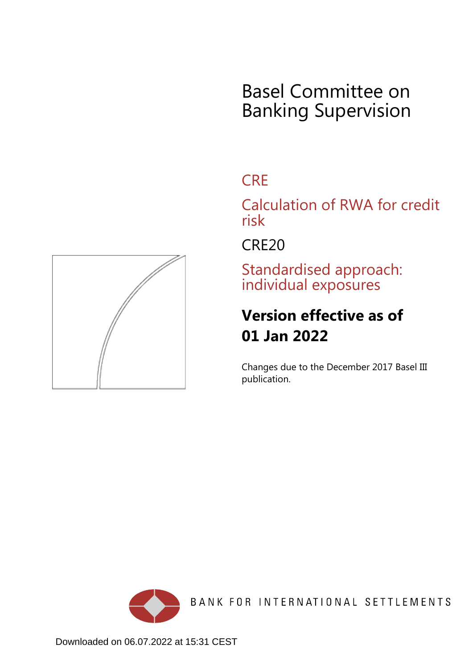# Basel Committee on Banking Supervision

# **CRE**

Calculation of RWA for credit risk

CRE20

Standardised approach: individual exposures

# **Version effective as of 01 Jan 2022**

Changes due to the December 2017 Basel III publication.



BANK FOR INTERNATIONAL SETTLEMENTS

<span id="page-0-0"></span>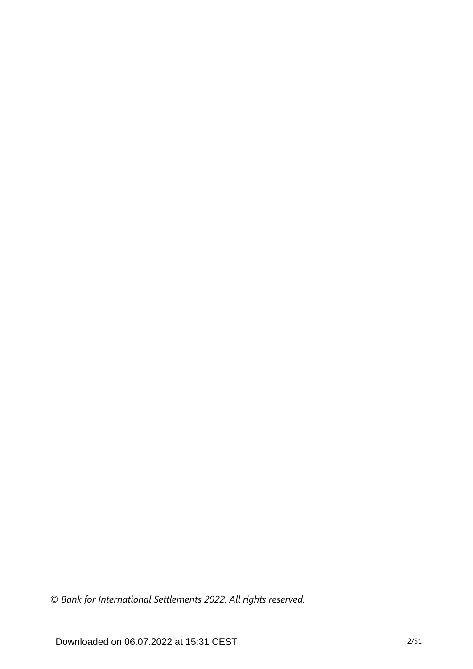*© Bank for International Settlements 2022. All rights reserved.*

Downloaded on 06.07.2022 at 15:31 CEST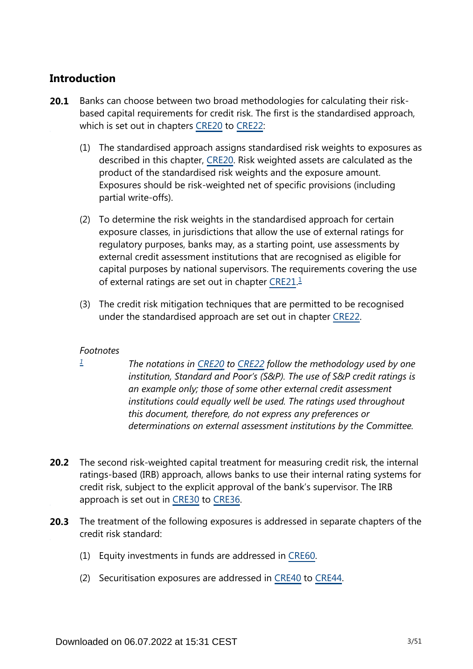# **Introduction**

- Banks can choose between two broad methodologies for calculating their riskbased capital requirements for credit risk. The first is the standardised approach, which is set out in chapters [CRE20](https://www.bis.org/basel_framework/chapter/CRE/20.htm?tldate=20250101&inforce=20220101&published=20191215) to [CRE22](https://www.bis.org/basel_framework/chapter/CRE/22.htm?tldate=20250101&inforce=20230101&published=20201126): **20.1**
	- (1) The standardised approach assigns standardised risk weights to exposures as described in this chapter, [CRE20.](https://www.bis.org/basel_framework/chapter/CRE/20.htm?tldate=20250101&inforce=20220101&published=20191215) Risk weighted assets are calculated as the product of the standardised risk weights and the exposure amount. Exposures should be risk-weighted net of specific provisions (including partial write-offs).
	- (2) To determine the risk weights in the standardised approach for certain exposure classes, in jurisdictions that allow the use of external ratings for regulatory purposes, banks may, as a starting point, use assessments by external credit assessment institutions that are recognised as eligible for capital purposes by national supervisors. The requirements covering the use of external ratings are set out in chapter [CRE21.](https://www.bis.org/basel_framework/chapter/CRE/21.htm?tldate=20250101&inforce=20230101&published=20200327)<sup>[1](#page-2-0)</sup>
	- (3) The credit risk mitigation techniques that are permitted to be recognised under the standardised approach are set out in chapter [CRE22.](https://www.bis.org/basel_framework/chapter/CRE/22.htm?tldate=20250101&inforce=20230101&published=20201126)

## <span id="page-2-1"></span>*Footnotes*

<span id="page-2-0"></span>*[1](#page-2-1)*

- *The notations in [CRE20](https://www.bis.org/basel_framework/chapter/CRE/20.htm?tldate=20250101&inforce=20220101&published=20191215) to [CRE22](https://www.bis.org/basel_framework/chapter/CRE/22.htm?tldate=20250101&inforce=20230101&published=20201126) follow the methodology used by one institution, Standard and Poor's (S&P). The use of S&P credit ratings is an example only; those of some other external credit assessment institutions could equally well be used. The ratings used throughout this document, therefore, do not express any preferences or determinations on external assessment institutions by the Committee.*
- **20.2** The second risk-weighted capital treatment for measuring credit risk, the internal ratings-based (IRB) approach, allows banks to use their internal rating systems for credit risk, subject to the explicit approval of the bank's supervisor. The IRB approach is set out in [CRE30](https://www.bis.org/basel_framework/chapter/CRE/30.htm?tldate=20250101&inforce=20230101&published=20200327) to [CRE36](https://www.bis.org/basel_framework/chapter/CRE/36.htm?tldate=20250101&inforce=20230101&published=20200327).
- The treatment of the following exposures is addressed in separate chapters of the **20.3** credit risk standard:
	- (1) Equity investments in funds are addressed in [CRE60.](https://www.bis.org/basel_framework/chapter/CRE/60.htm?tldate=20250101&inforce=20230101&published=20200327)
	- (2) Securitisation exposures are addressed in [CRE40](https://www.bis.org/basel_framework/chapter/CRE/40.htm?tldate=20250101&inforce=20230101&published=20201126) to [CRE44](https://www.bis.org/basel_framework/chapter/CRE/44.htm?tldate=20250101&inforce=20230101&published=20200327).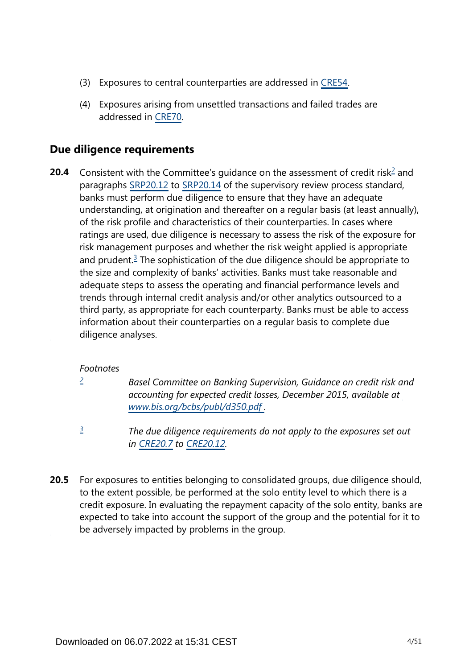- (3) Exposures to central counterparties are addressed in [CRE54.](https://www.bis.org/basel_framework/chapter/CRE/54.htm?tldate=20250101&inforce=20230101&published=20200327)
- (4) Exposures arising from unsettled transactions and failed trades are addressed in [CRE70.](https://www.bis.org/basel_framework/chapter/CRE/70.htm?tldate=20250101&inforce=20191215&published=20191215)

# **Due diligence requirements**

<span id="page-3-3"></span><span id="page-3-2"></span>Consistent with the Committee's guidance on the assessment of credit risk<sup>[2](#page-3-0)</sup> and paragraphs [SRP20.12](https://www.bis.org/basel_framework/chapter/SRP/20.htm?tldate=20250101&inforce=20191215&published=20191215#paragraph_SRP_20_20191215_20_12) to [SRP20.14](https://www.bis.org/basel_framework/chapter/SRP/20.htm?tldate=20250101&inforce=20191215&published=20191215#paragraph_SRP_20_20191215_20_14) of the supervisory review process standard, banks must perform due diligence to ensure that they have an adequate understanding, at origination and thereafter on a regular basis (at least annually), of the risk profile and characteristics of their counterparties. In cases where ratings are used, due diligence is necessary to assess the risk of the exposure for risk management purposes and whether the risk weight applied is appropriate and prudent.<sup>[3](#page-3-1)</sup> The sophistication of the due diligence should be appropriate to the size and complexity of banks' activities. Banks must take reasonable and adequate steps to assess the operating and financial performance levels and trends through internal credit analysis and/or other analytics outsourced to a third party, as appropriate for each counterparty. Banks must be able to access information about their counterparties on a regular basis to complete due diligence analyses. **20.4**

## *Footnotes*

<span id="page-3-0"></span>*[2](#page-3-2)*

*Basel Committee on Banking Supervision, Guidance on credit risk and accounting for expected credit losses, December 2015, available at [www.bis.org/bcbs/publ/d350.pdf](https://www.bis.org/bcbs/publ/d350.pdf) .*

- *The due diligence requirements do not apply to the exposures set out in [CRE20.7](https://www.bis.org/basel_framework/chapter/CRE/20.htm?tldate=20250101&inforce=20220101&published=20191215#paragraph_CRE_20_20220101_20_7) to [CRE20.12.](https://www.bis.org/basel_framework/chapter/CRE/20.htm?tldate=20250101&inforce=20220101&published=20191215#paragraph_CRE_20_20220101_20_12) [3](#page-3-3)*
- <span id="page-3-1"></span>For exposures to entities belonging to consolidated groups, due diligence should, to the extent possible, be performed at the solo entity level to which there is a credit exposure. In evaluating the repayment capacity of the solo entity, banks are expected to take into account the support of the group and the potential for it to be adversely impacted by problems in the group. **20.5**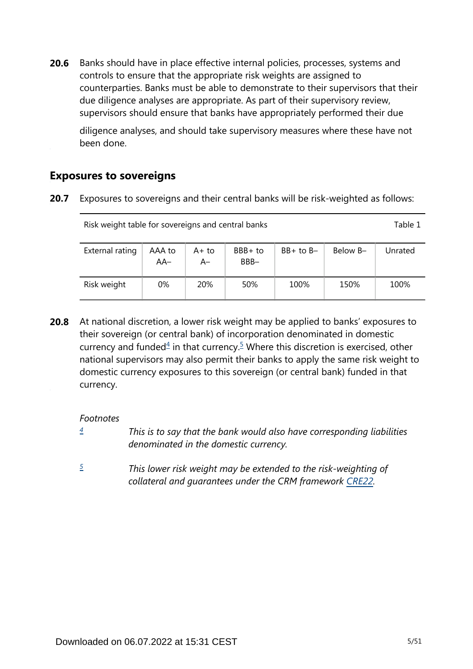Banks should have in place effective internal policies, processes, systems and controls to ensure that the appropriate risk weights are assigned to counterparties. Banks must be able to demonstrate to their supervisors that their due diligence analyses are appropriate. As part of their supervisory review, supervisors should ensure that banks have appropriately performed their due **20.6**

diligence analyses, and should take supervisory measures where these have not been done.

# **Exposures to sovereigns**

**20.7** Exposures to sovereigns and their central banks will be risk-weighted as follows:

| Risk weight table for sovereigns and central banks |               |               |                 |               |          |         |  |  |
|----------------------------------------------------|---------------|---------------|-----------------|---------------|----------|---------|--|--|
| External rating                                    | AAA to<br>AA- | A+ to<br>$A-$ | BBB+ to<br>BBB- | $BB+$ to $B-$ | Below B- | Unrated |  |  |
| Risk weight                                        | 0%            | <b>20%</b>    | 50%             | 100%          | 150%     | 100%    |  |  |

<span id="page-4-2"></span>At national discretion, a lower risk weight may be applied to banks' exposures to their sovereign (or central bank) of incorporation denominated in domestic currency and funded $4$  in that currency.<sup>[5](#page-4-1)</sup> Where this discretion is exercised, other national supervisors may also permit their banks to apply the same risk weight to domestic currency exposures to this sovereign (or central bank) funded in that currency. **20.8**

*Footnotes*

- <span id="page-4-0"></span>*This is to say that the bank would also have corresponding liabilities denominated in the domestic currency. [4](#page-4-2)*
- <span id="page-4-1"></span>*This lower risk weight may be extended to the risk-weighting of collateral and guarantees under the CRM framework [CRE22.](https://www.bis.org/basel_framework/chapter/CRE/22.htm?tldate=20250101&inforce=20230101&published=20201126) [5](#page-4-2)*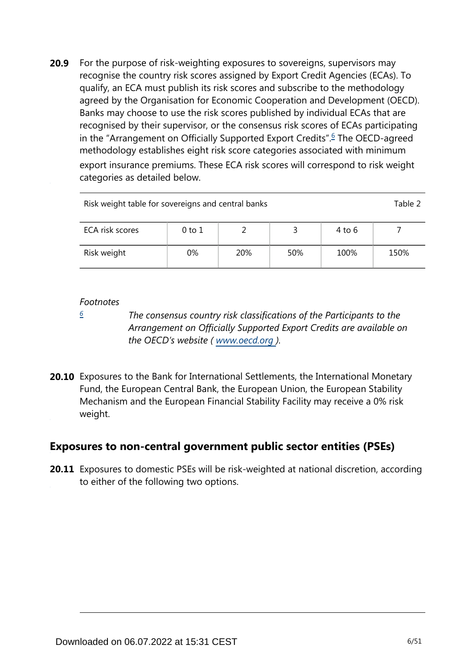<span id="page-5-1"></span>For the purpose of risk-weighting exposures to sovereigns, supervisors may recognise the country risk scores assigned by Export Credit Agencies (ECAs). To qualify, an ECA must publish its risk scores and subscribe to the methodology agreed by the Organisation for Economic Cooperation and Development (OECD). Banks may choose to use the risk scores published by individual ECAs that are recognised by their supervisor, or the consensus risk scores of ECAs participating in the "Arrangement on Officially Supported Export Credits".<sup>[6](#page-5-0)</sup> The OECD-agreed methodology establishes eight risk score categories associated with minimum export insurance premiums. These ECA risk scores will correspond to risk weight categories as detailed below. **20.9**

| Risk weight table for sovereigns and central banks |    |     |     |      |      |  |  |  |
|----------------------------------------------------|----|-----|-----|------|------|--|--|--|
| ECA risk scores<br>4 to 6<br>0 to 1                |    |     |     |      |      |  |  |  |
| Risk weight                                        | 0% | 20% | 50% | 100% | 150% |  |  |  |

#### *Footnotes*

<span id="page-5-0"></span>*[6](#page-5-1)*

*The consensus country risk classifications of the Participants to the Arrangement on Officially Supported Export Credits are available on the OECD's website ( www.oecd.org ).*

**20.10** Exposures to the Bank for International Settlements, the International Monetary Fund, the European Central Bank, the European Union, the European Stability Mechanism and the European Financial Stability Facility may receive a 0% risk weight.

# **Exposures to non-central government public sector entities (PSEs)**

**20.11** Exposures to domestic PSEs will be risk-weighted at national discretion, according to either of the following two options.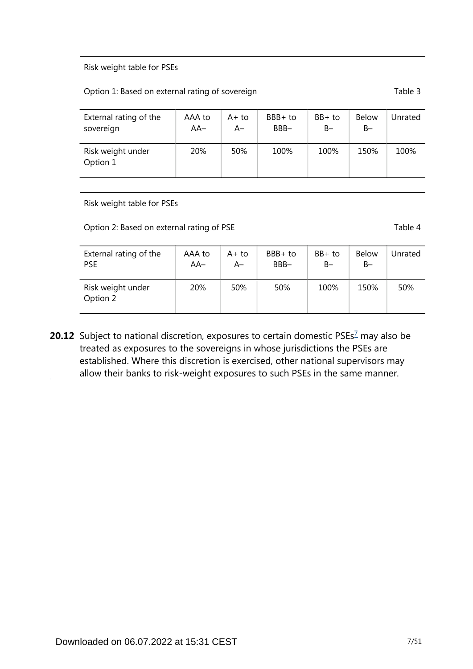#### Risk weight table for PSEs

#### Option 1: Based on external rating of sovereign Table 3

| External rating of the        | AAA to | $A+to$ | $BBB+to$ | $BB+$ to | <b>Below</b> | Unrated |
|-------------------------------|--------|--------|----------|----------|--------------|---------|
| sovereign                     | $AA-$  | A–     | BBB-     | B-       | $B -$        |         |
| Risk weight under<br>Option 1 | 20%    | 50%    | 100%     | 100%     | 150%         | 100%    |

Risk weight table for PSEs

Option 2: Based on external rating of PSE Table 4

| External rating of the        | AAA to | A+ to | BBB+ to | $BB+$ to | <b>Below</b> | Unrated |
|-------------------------------|--------|-------|---------|----------|--------------|---------|
| <b>PSE</b>                    | $AA-$  | A–    | BBB-    | B-       | $B -$        |         |
| Risk weight under<br>Option 2 | 20%    | 50%   | 50%     | 100%     | 150%         | 50%     |

<span id="page-6-0"></span>**20.12** Subject to national discretion, exposures to certain domestic PSEs<sup>[7](#page-7-0)</sup> may also be treated as exposures to the sovereigns in whose jurisdictions the PSEs are established. Where this discretion is exercised, other national supervisors may allow their banks to risk-weight exposures to such PSEs in the same manner.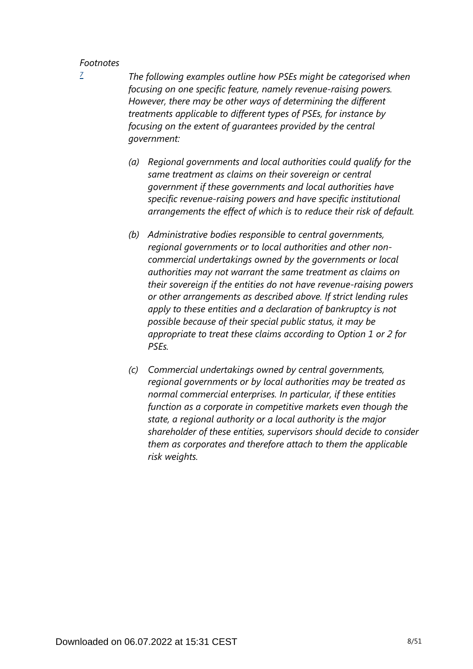<span id="page-7-0"></span>*[7](#page-6-0)*

*The following examples outline how PSEs might be categorised when focusing on one specific feature, namely revenue-raising powers. However, there may be other ways of determining the different treatments applicable to different types of PSEs, for instance by focusing on the extent of guarantees provided by the central government:*

- *(a) Regional governments and local authorities could qualify for the same treatment as claims on their sovereign or central government if these governments and local authorities have specific revenue-raising powers and have specific institutional arrangements the effect of which is to reduce their risk of default.*
- *(b) Administrative bodies responsible to central governments, regional governments or to local authorities and other noncommercial undertakings owned by the governments or local authorities may not warrant the same treatment as claims on their sovereign if the entities do not have revenue-raising powers or other arrangements as described above. If strict lending rules apply to these entities and a declaration of bankruptcy is not possible because of their special public status, it may be appropriate to treat these claims according to Option 1 or 2 for PSEs.*
- *(c) Commercial undertakings owned by central governments, regional governments or by local authorities may be treated as normal commercial enterprises. In particular, if these entities function as a corporate in competitive markets even though the state, a regional authority or a local authority is the major shareholder of these entities, supervisors should decide to consider them as corporates and therefore attach to them the applicable risk weights.*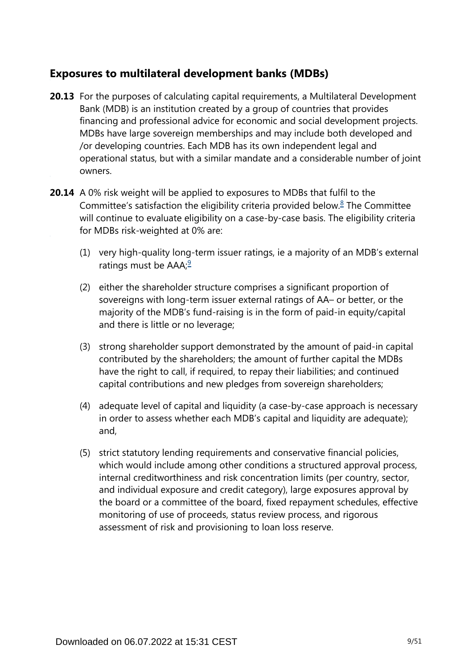# **Exposures to multilateral development banks (MDBs)**

- **20.13** For the purposes of calculating capital requirements, a Multilateral Development Bank (MDB) is an institution created by a group of countries that provides financing and professional advice for economic and social development projects. MDBs have large sovereign memberships and may include both developed and /or developing countries. Each MDB has its own independent legal and operational status, but with a similar mandate and a considerable number of joint owners.
- <span id="page-8-1"></span><span id="page-8-0"></span>**20.14** A 0% risk weight will be applied to exposures to MDBs that fulfil to the Committee's satisfaction the eligibility criteria provided below. $8$  The Committee will continue to evaluate eligibility on a case-by-case basis. The eligibility criteria for MDBs risk-weighted at 0% are:
	- (1) very high-quality long-term issuer ratings, ie a majority of an MDB's external ratings must be  $AAA$ ;<sup>[9](#page-9-1)</sup>
	- (2) either the shareholder structure comprises a significant proportion of sovereigns with long-term issuer external ratings of AA– or better, or the majority of the MDB's fund-raising is in the form of paid-in equity/capital and there is little or no leverage;
	- (3) strong shareholder support demonstrated by the amount of paid-in capital contributed by the shareholders; the amount of further capital the MDBs have the right to call, if required, to repay their liabilities; and continued capital contributions and new pledges from sovereign shareholders;
	- (4) adequate level of capital and liquidity (a case-by-case approach is necessary in order to assess whether each MDB's capital and liquidity are adequate); and,
	- (5) strict statutory lending requirements and conservative financial policies, which would include among other conditions a structured approval process, internal creditworthiness and risk concentration limits (per country, sector, and individual exposure and credit category), large exposures approval by the board or a committee of the board, fixed repayment schedules, effective monitoring of use of proceeds, status review process, and rigorous assessment of risk and provisioning to loan loss reserve.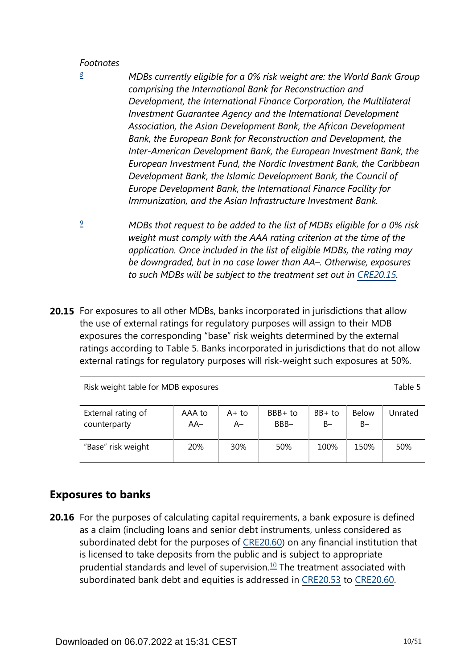<span id="page-9-0"></span>*[8](#page-8-0)*

- *MDBs currently eligible for a 0% risk weight are: the World Bank Group comprising the International Bank for Reconstruction and Development, the International Finance Corporation, the Multilateral Investment Guarantee Agency and the International Development Association, the Asian Development Bank, the African Development Bank, the European Bank for Reconstruction and Development, the Inter-American Development Bank, the European Investment Bank, the European Investment Fund, the Nordic Investment Bank, the Caribbean Development Bank, the Islamic Development Bank, the Council of Europe Development Bank, the International Finance Facility for Immunization, and the Asian Infrastructure Investment Bank.*
- <span id="page-9-1"></span>*MDBs that request to be added to the list of MDBs eligible for a 0% risk weight must comply with the AAA rating criterion at the time of the application. Once included in the list of eligible MDBs, the rating may be downgraded, but in no case lower than AA–. Otherwise, exposures*  to such MDBs will be subject to the treatment set out in [CRE20.15.](https://www.bis.org/basel_framework/chapter/CRE/20.htm?tldate=20250101&inforce=20220101&published=20191215#paragraph_CRE_20_20220101_20_15) *[9](#page-8-1)*
- **20.15** For exposures to all other MDBs, banks incorporated in jurisdictions that allow the use of external ratings for regulatory purposes will assign to their MDB exposures the corresponding "base" risk weights determined by the external ratings according to Table 5. Banks incorporated in jurisdictions that do not allow external ratings for regulatory purposes will risk-weight such exposures at 50%.

Risk weight table for MDB exposures Table 5

| External rating of | AAA to | A+ to | BBB+ to | $BB+$ to | <b>Below</b> | Unrated |
|--------------------|--------|-------|---------|----------|--------------|---------|
| counterparty       | $AA-$  | A–    | BBB-    | B-       | $B -$        |         |
| "Base" risk weight | 20%    | 30%   | 50%     | 100%     | 150%         | 50%     |

# **Exposures to banks**

<span id="page-9-2"></span>**20.16** For the purposes of calculating capital requirements, a bank exposure is defined as a claim (including loans and senior debt instruments, unless considered as subordinated debt for the purposes of [CRE20.60](https://www.bis.org/basel_framework/chapter/CRE/20.htm?tldate=20250101&inforce=20220101&published=20191215#paragraph_CRE_20_20220101_20_60)) on any financial institution that is licensed to take deposits from the public and is subject to appropriate prudential standards and level of supervision. $10$  The treatment associated with subordinated bank debt and equities is addressed in [CRE20.53](https://www.bis.org/basel_framework/chapter/CRE/20.htm?tldate=20250101&inforce=20220101&published=20191215#paragraph_CRE_20_20220101_20_53) to [CRE20.60](https://www.bis.org/basel_framework/chapter/CRE/20.htm?tldate=20250101&inforce=20220101&published=20191215#paragraph_CRE_20_20220101_20_60).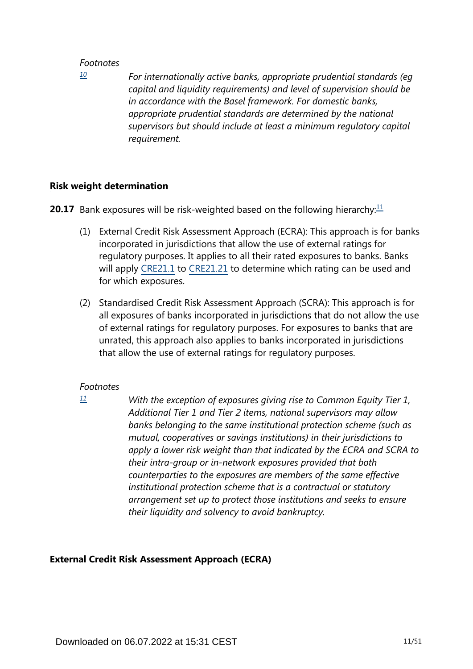<span id="page-10-0"></span>*[10](#page-9-2)*

*For internationally active banks, appropriate prudential standards (eg capital and liquidity requirements) and level of supervision should be in accordance with the Basel framework. For domestic banks, appropriate prudential standards are determined by the national supervisors but should include at least a minimum regulatory capital requirement.*

#### **Risk weight determination**

<span id="page-10-2"></span>**20.17** Bank exposures will be risk-weighted based on the following hierarchy:<sup>[11](#page-10-1)</sup>

- (1) External Credit Risk Assessment Approach (ECRA): This approach is for banks incorporated in jurisdictions that allow the use of external ratings for regulatory purposes. It applies to all their rated exposures to banks. Banks will apply [CRE21.1](https://www.bis.org/basel_framework/chapter/CRE/21.htm?tldate=20250101&inforce=20230101&published=20200327#paragraph_CRE_21_20230101_21_1) to [CRE21.21](https://www.bis.org/basel_framework/chapter/CRE/21.htm?tldate=20250101&inforce=20230101&published=20200327#paragraph_CRE_21_20230101_21_21) to determine which rating can be used and for which exposures.
- (2) Standardised Credit Risk Assessment Approach (SCRA): This approach is for all exposures of banks incorporated in jurisdictions that do not allow the use of external ratings for regulatory purposes. For exposures to banks that are unrated, this approach also applies to banks incorporated in jurisdictions that allow the use of external ratings for regulatory purposes.

#### *Footnotes*

*With the exception of exposures giving rise to Common Equity Tier 1, Additional Tier 1 and Tier 2 items, national supervisors may allow banks belonging to the same institutional protection scheme (such as mutual, cooperatives or savings institutions) in their jurisdictions to apply a lower risk weight than that indicated by the ECRA and SCRA to their intra-group or in-network exposures provided that both counterparties to the exposures are members of the same effective institutional protection scheme that is a contractual or statutory arrangement set up to protect those institutions and seeks to ensure their liquidity and solvency to avoid bankruptcy.*

## **External Credit Risk Assessment Approach (ECRA)**

<span id="page-10-1"></span>*[<sup>11</sup>](#page-10-2)*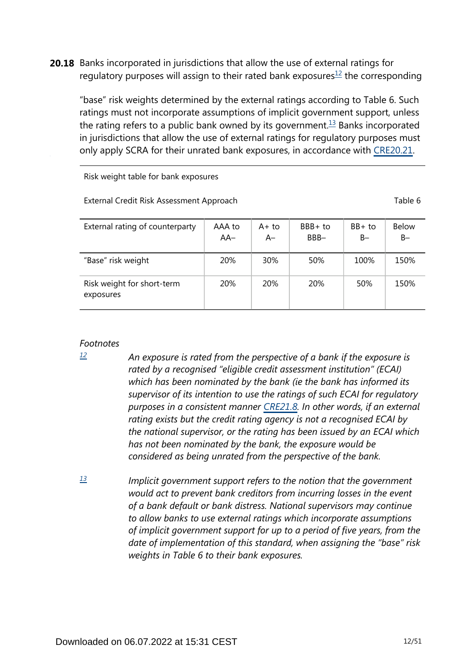<span id="page-11-3"></span><span id="page-11-2"></span>**20.18** Banks incorporated in jurisdictions that allow the use of external ratings for regulatory purposes will assign to their rated bank exposures $1/2$  the corresponding

"base" risk weights determined by the external ratings according to Table 6. Such ratings must not incorporate assumptions of implicit government support, unless the rating refers to a public bank owned by its government.<sup>[13](#page-11-1)</sup> Banks incorporated in jurisdictions that allow the use of external ratings for regulatory purposes must only apply SCRA for their unrated bank exposures, in accordance with [CRE20.21.](https://www.bis.org/basel_framework/chapter/CRE/20.htm?tldate=20250101&inforce=20220101&published=20191215#paragraph_CRE_20_20220101_20_21)

Risk weight table for bank exposures

External Credit Risk Assessment Approach Table 6

| External rating of counterparty         | AAA to<br>$AA-$ | A+ to<br>$A-$ | BBB+ to<br>BBB- | $BB+$ to<br>$B -$ | <b>Below</b><br>B- |
|-----------------------------------------|-----------------|---------------|-----------------|-------------------|--------------------|
| "Base" risk weight                      | 20%             | 30%           | 50%             | 100%              | 150%               |
| Risk weight for short-term<br>exposures | <b>20%</b>      | <b>20%</b>    | <b>20%</b>      | 50%               | 150%               |

#### *Footnotes*

<span id="page-11-0"></span>*[12](#page-11-2)*

- *An exposure is rated from the perspective of a bank if the exposure is rated by a recognised "eligible credit assessment institution" (ECAI) which has been nominated by the bank (ie the bank has informed its supervisor of its intention to use the ratings of such ECAI for regulatory purposes in a consistent manner [CRE21.8](https://www.bis.org/basel_framework/chapter/CRE/21.htm?tldate=20250101&inforce=20230101&published=20200327#paragraph_CRE_21_20230101_21_8). In other words, if an external rating exists but the credit rating agency is not a recognised ECAI by the national supervisor, or the rating has been issued by an ECAI which has not been nominated by the bank, the exposure would be considered as being unrated from the perspective of the bank.*
- <span id="page-11-1"></span>*Implicit government support refers to the notion that the government would act to prevent bank creditors from incurring losses in the event of a bank default or bank distress. National supervisors may continue to allow banks to use external ratings which incorporate assumptions of implicit government support for up to a period of five years, from the date of implementation of this standard, when assigning the "base" risk weights in Table 6 to their bank exposures. [13](#page-11-3)*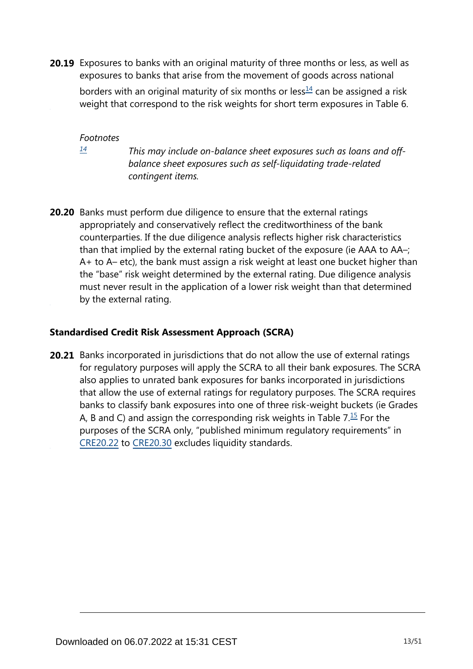<span id="page-12-1"></span>**20.19** Exposures to banks with an original maturity of three months or less, as well as exposures to banks that arise from the movement of goods across national

borders with an original maturity of six months or less $\frac{14}{1}$  $\frac{14}{1}$  $\frac{14}{1}$  can be assigned a risk weight that correspond to the risk weights for short term exposures in Table 6.

*Footnotes*

<span id="page-12-0"></span>*[14](#page-12-1)*

*This may include on-balance sheet exposures such as loans and offbalance sheet exposures such as self-liquidating trade-related contingent items.*

**20.20** Banks must perform due diligence to ensure that the external ratings appropriately and conservatively reflect the creditworthiness of the bank counterparties. If the due diligence analysis reflects higher risk characteristics than that implied by the external rating bucket of the exposure (ie AAA to AA–; A+ to A– etc), the bank must assign a risk weight at least one bucket higher than the "base" risk weight determined by the external rating. Due diligence analysis must never result in the application of a lower risk weight than that determined by the external rating.

## **Standardised Credit Risk Assessment Approach (SCRA)**

<span id="page-12-2"></span>**20.21** Banks incorporated in jurisdictions that do not allow the use of external ratings for regulatory purposes will apply the SCRA to all their bank exposures. The SCRA also applies to unrated bank exposures for banks incorporated in jurisdictions that allow the use of external ratings for regulatory purposes. The SCRA requires banks to classify bank exposures into one of three risk-weight buckets (ie Grades A, B and C) and assign the corresponding risk weights in Table  $7.\overline{15}$  $7.\overline{15}$  $7.\overline{15}$  For the purposes of the SCRA only, "published minimum regulatory requirements" in [CRE20.22](https://www.bis.org/basel_framework/chapter/CRE/20.htm?tldate=20250101&inforce=20220101&published=20191215#paragraph_CRE_20_20220101_20_22) to [CRE20.30](https://www.bis.org/basel_framework/chapter/CRE/20.htm?tldate=20250101&inforce=20220101&published=20191215#paragraph_CRE_20_20220101_20_30) excludes liquidity standards.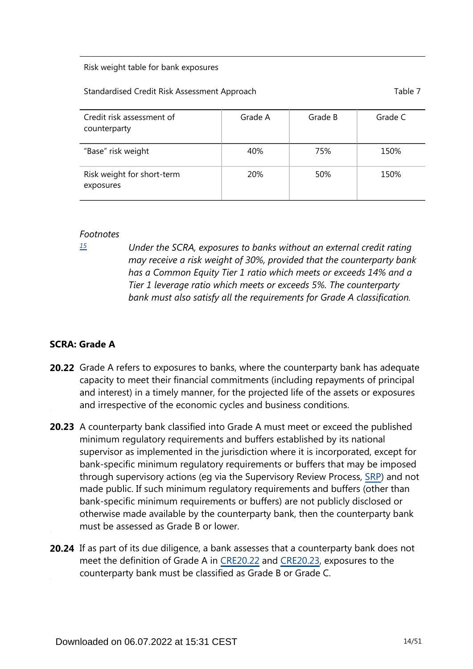#### Risk weight table for bank exposures

#### Standardised Credit Risk Assessment Approach Table 7 and Table 7

| Credit risk assessment of<br>counterparty | Grade A    | Grade B | Grade C |
|-------------------------------------------|------------|---------|---------|
| "Base" risk weight                        | 40%        | 75%     | 150%    |
| Risk weight for short-term<br>exposures   | <b>20%</b> | 50%     | 150%    |

#### *Footnotes*

<span id="page-13-0"></span>*[15](#page-12-2)*

*Under the SCRA, exposures to banks without an external credit rating may receive a risk weight of 30%, provided that the counterparty bank has a Common Equity Tier 1 ratio which meets or exceeds 14% and a Tier 1 leverage ratio which meets or exceeds 5%. The counterparty bank must also satisfy all the requirements for Grade A classification.*

## **SCRA: Grade A**

- **20.22** Grade A refers to exposures to banks, where the counterparty bank has adequate capacity to meet their financial commitments (including repayments of principal and interest) in a timely manner, for the projected life of the assets or exposures and irrespective of the economic cycles and business conditions.
- **20.23** A counterparty bank classified into Grade A must meet or exceed the published minimum regulatory requirements and buffers established by its national supervisor as implemented in the jurisdiction where it is incorporated, except for bank-specific minimum regulatory requirements or buffers that may be imposed through supervisory actions (eg via the Supervisory Review Process, [SRP\)](https://www.bis.org/basel_framework/standard/SRP.htm?tldate=20250101) and not made public. If such minimum regulatory requirements and buffers (other than bank-specific minimum requirements or buffers) are not publicly disclosed or otherwise made available by the counterparty bank, then the counterparty bank must be assessed as Grade B or lower.
- **20.24** If as part of its due diligence, a bank assesses that a counterparty bank does not meet the definition of Grade A in [CRE20.22](https://www.bis.org/basel_framework/chapter/CRE/20.htm?tldate=20250101&inforce=20220101&published=20191215#paragraph_CRE_20_20220101_20_22) and [CRE20.23](https://www.bis.org/basel_framework/chapter/CRE/20.htm?tldate=20250101&inforce=20220101&published=20191215#paragraph_CRE_20_20220101_20_23), exposures to the counterparty bank must be classified as Grade B or Grade C.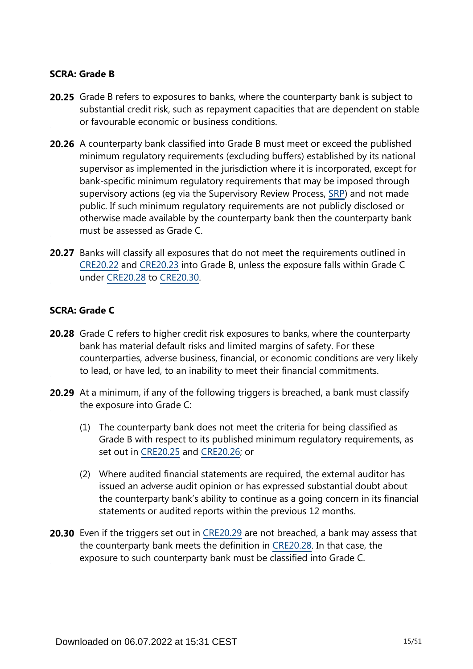### **SCRA: Grade B**

- **20.25** Grade B refers to exposures to banks, where the counterparty bank is subject to substantial credit risk, such as repayment capacities that are dependent on stable or favourable economic or business conditions.
- **20.26** A counterparty bank classified into Grade B must meet or exceed the published minimum regulatory requirements (excluding buffers) established by its national supervisor as implemented in the jurisdiction where it is incorporated, except for bank-specific minimum regulatory requirements that may be imposed through supervisory actions (eg via the Supervisory Review Process, [SRP\)](https://www.bis.org/basel_framework/standard/SRP.htm?tldate=20250101) and not made public. If such minimum regulatory requirements are not publicly disclosed or otherwise made available by the counterparty bank then the counterparty bank must be assessed as Grade C.
- **20.27** Banks will classify all exposures that do not meet the requirements outlined in [CRE20.22](https://www.bis.org/basel_framework/chapter/CRE/20.htm?tldate=20250101&inforce=20220101&published=20191215#paragraph_CRE_20_20220101_20_22) and [CRE20.23](https://www.bis.org/basel_framework/chapter/CRE/20.htm?tldate=20250101&inforce=20220101&published=20191215#paragraph_CRE_20_20220101_20_23) into Grade B, unless the exposure falls within Grade C under [CRE20.28](https://www.bis.org/basel_framework/chapter/CRE/20.htm?tldate=20250101&inforce=20220101&published=20191215#paragraph_CRE_20_20220101_20_28) to [CRE20.30.](https://www.bis.org/basel_framework/chapter/CRE/20.htm?tldate=20250101&inforce=20220101&published=20191215#paragraph_CRE_20_20220101_20_30)

#### **SCRA: Grade C**

- **20.28** Grade C refers to higher credit risk exposures to banks, where the counterparty bank has material default risks and limited margins of safety. For these counterparties, adverse business, financial, or economic conditions are very likely to lead, or have led, to an inability to meet their financial commitments.
- **20.29** At a minimum, if any of the following triggers is breached, a bank must classify the exposure into Grade C:
	- (1) The counterparty bank does not meet the criteria for being classified as Grade B with respect to its published minimum regulatory requirements, as set out in [CRE20.25](https://www.bis.org/basel_framework/chapter/CRE/20.htm?tldate=20250101&inforce=20220101&published=20191215#paragraph_CRE_20_20220101_20_25) and [CRE20.26](https://www.bis.org/basel_framework/chapter/CRE/20.htm?tldate=20250101&inforce=20220101&published=20191215#paragraph_CRE_20_20220101_20_26); or
	- (2) Where audited financial statements are required, the external auditor has issued an adverse audit opinion or has expressed substantial doubt about the counterparty bank's ability to continue as a going concern in its financial statements or audited reports within the previous 12 months.
- **20.30** Even if the triggers set out in [CRE20.29](https://www.bis.org/basel_framework/chapter/CRE/20.htm?tldate=20250101&inforce=20220101&published=20191215#paragraph_CRE_20_20220101_20_29) are not breached, a bank may assess that the counterparty bank meets the definition in [CRE20.28](https://www.bis.org/basel_framework/chapter/CRE/20.htm?tldate=20250101&inforce=20220101&published=20191215#paragraph_CRE_20_20220101_20_28). In that case, the exposure to such counterparty bank must be classified into Grade C.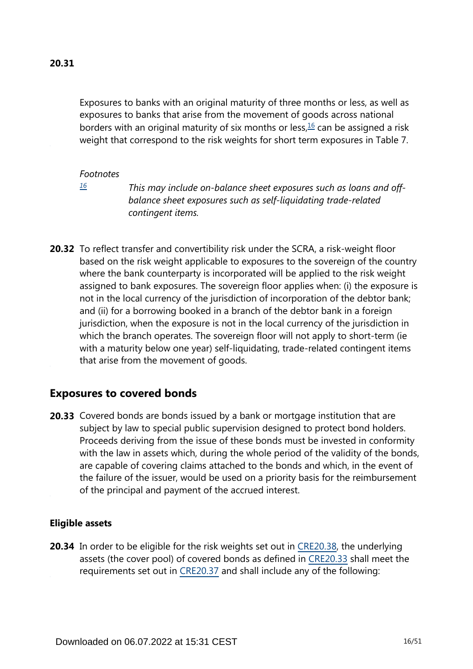<span id="page-15-1"></span>Exposures to banks with an original maturity of three months or less, as well as exposures to banks that arise from the movement of goods across national borders with an original maturity of six months or less, $16$  can be assigned a risk weight that correspond to the risk weights for short term exposures in Table 7.

#### *Footnotes*

<span id="page-15-0"></span>*[16](#page-15-1)*

*This may include on-balance sheet exposures such as loans and offbalance sheet exposures such as self-liquidating trade-related contingent items.*

**20.32** To reflect transfer and convertibility risk under the SCRA, a risk-weight floor based on the risk weight applicable to exposures to the sovereign of the country where the bank counterparty is incorporated will be applied to the risk weight assigned to bank exposures. The sovereign floor applies when: (i) the exposure is not in the local currency of the jurisdiction of incorporation of the debtor bank; and (ii) for a borrowing booked in a branch of the debtor bank in a foreign jurisdiction, when the exposure is not in the local currency of the jurisdiction in which the branch operates. The sovereign floor will not apply to short-term (ie with a maturity below one year) self-liquidating, trade-related contingent items that arise from the movement of goods.

# **Exposures to covered bonds**

**20.33** Covered bonds are bonds issued by a bank or mortgage institution that are subject by law to special public supervision designed to protect bond holders. Proceeds deriving from the issue of these bonds must be invested in conformity with the law in assets which, during the whole period of the validity of the bonds, are capable of covering claims attached to the bonds and which, in the event of the failure of the issuer, would be used on a priority basis for the reimbursement of the principal and payment of the accrued interest.

#### **Eligible assets**

**20.34** In order to be eligible for the risk weights set out in [CRE20.38,](https://www.bis.org/basel_framework/chapter/CRE/20.htm?tldate=20250101&inforce=20220101&published=20191215#paragraph_CRE_20_20220101_20_38) the underlying assets (the cover pool) of covered bonds as defined in [CRE20.33](https://www.bis.org/basel_framework/chapter/CRE/20.htm?tldate=20250101&inforce=20220101&published=20191215#paragraph_CRE_20_20220101_20_33) shall meet the requirements set out in [CRE20.37](https://www.bis.org/basel_framework/chapter/CRE/20.htm?tldate=20250101&inforce=20220101&published=20191215#paragraph_CRE_20_20220101_20_37) and shall include any of the following: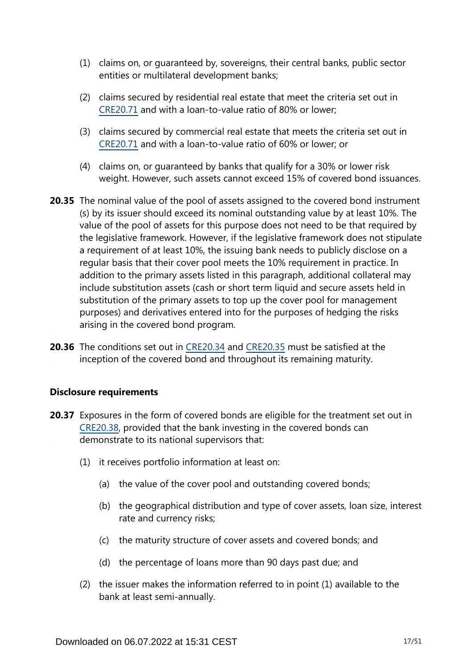- (1) claims on, or guaranteed by, sovereigns, their central banks, public sector entities or multilateral development banks;
- (2) claims secured by residential real estate that meet the criteria set out in [CRE20.71](https://www.bis.org/basel_framework/chapter/CRE/20.htm?tldate=20250101&inforce=20220101&published=20191215#paragraph_CRE_20_20220101_20_71) and with a loan-to-value ratio of 80% or lower;
- (3) claims secured by commercial real estate that meets the criteria set out in [CRE20.71](https://www.bis.org/basel_framework/chapter/CRE/20.htm?tldate=20250101&inforce=20220101&published=20191215#paragraph_CRE_20_20220101_20_71) and with a loan-to-value ratio of 60% or lower; or
- (4) claims on, or guaranteed by banks that qualify for a 30% or lower risk weight. However, such assets cannot exceed 15% of covered bond issuances.
- **20.35** The nominal value of the pool of assets assigned to the covered bond instrument (s) by its issuer should exceed its nominal outstanding value by at least 10%. The value of the pool of assets for this purpose does not need to be that required by the legislative framework. However, if the legislative framework does not stipulate a requirement of at least 10%, the issuing bank needs to publicly disclose on a regular basis that their cover pool meets the 10% requirement in practice. In addition to the primary assets listed in this paragraph, additional collateral may include substitution assets (cash or short term liquid and secure assets held in substitution of the primary assets to top up the cover pool for management purposes) and derivatives entered into for the purposes of hedging the risks arising in the covered bond program.
- **20.36** The conditions set out in [CRE20.34](https://www.bis.org/basel_framework/chapter/CRE/20.htm?tldate=20250101&inforce=20220101&published=20191215#paragraph_CRE_20_20220101_20_34) and [CRE20.35](https://www.bis.org/basel_framework/chapter/CRE/20.htm?tldate=20250101&inforce=20220101&published=20191215#paragraph_CRE_20_20220101_20_35) must be satisfied at the inception of the covered bond and throughout its remaining maturity.

## **Disclosure requirements**

- **20.37** Exposures in the form of covered bonds are eligible for the treatment set out in [CRE20.38](https://www.bis.org/basel_framework/chapter/CRE/20.htm?tldate=20250101&inforce=20220101&published=20191215#paragraph_CRE_20_20220101_20_38), provided that the bank investing in the covered bonds can demonstrate to its national supervisors that:
	- (1) it receives portfolio information at least on:
		- (a) the value of the cover pool and outstanding covered bonds;
		- (b) the geographical distribution and type of cover assets, loan size, interest rate and currency risks;
		- (c) the maturity structure of cover assets and covered bonds; and
		- (d) the percentage of loans more than 90 days past due; and
	- (2) the issuer makes the information referred to in point (1) available to the bank at least semi-annually.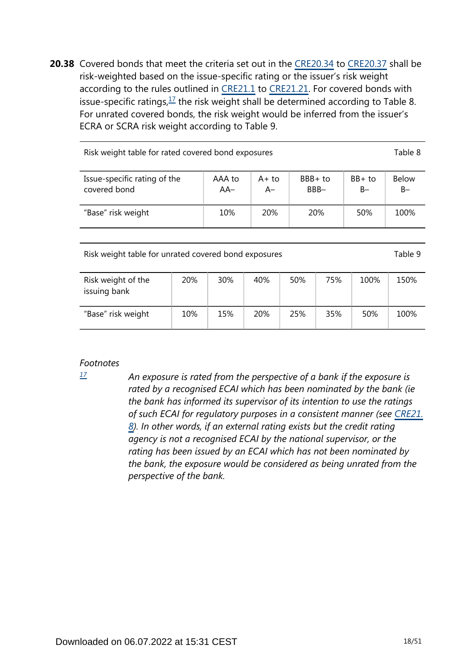<span id="page-17-1"></span>**20.38** Covered bonds that meet the criteria set out in the [CRE20.34](https://www.bis.org/basel_framework/chapter/CRE/20.htm?tldate=20250101&inforce=20220101&published=20191215#paragraph_CRE_20_20220101_20_34) to [CRE20.37](https://www.bis.org/basel_framework/chapter/CRE/20.htm?tldate=20250101&inforce=20220101&published=20191215#paragraph_CRE_20_20220101_20_37) shall be risk-weighted based on the issue-specific rating or the issuer's risk weight according to the rules outlined in [CRE21.1](https://www.bis.org/basel_framework/chapter/CRE/21.htm?tldate=20250101&inforce=20230101&published=20200327#paragraph_CRE_21_20230101_21_1) to [CRE21.21](https://www.bis.org/basel_framework/chapter/CRE/21.htm?tldate=20250101&inforce=20230101&published=20200327#paragraph_CRE_21_20230101_21_21). For covered bonds with issue-specific ratings,  $\frac{17}{1}$  $\frac{17}{1}$  $\frac{17}{1}$  the risk weight shall be determined according to Table 8. For unrated covered bonds, the risk weight would be inferred from the issuer's ECRA or SCRA risk weight according to Table 9.

| Risk weight table for rated covered bond exposures |                 |                |                    |                   |                       |  |  |  |
|----------------------------------------------------|-----------------|----------------|--------------------|-------------------|-----------------------|--|--|--|
| Issue-specific rating of the<br>covered bond       | AAA to<br>$AA-$ | $A+to$<br>$A-$ | $BBB + to$<br>BBB- | $BB+$ to<br>$B -$ | <b>Below</b><br>$B -$ |  |  |  |
| "Base" risk weight                                 | 10%             | <b>20%</b>     | <b>20%</b>         | 50%               | 100%                  |  |  |  |
|                                                    |                 |                |                    |                   |                       |  |  |  |

Risk weight table for unrated covered bond exposures Table 9

| Risk weight of the<br>issuing bank | 20% | 30% | 40% | 50% | 75% | 100% | 150% |
|------------------------------------|-----|-----|-----|-----|-----|------|------|
| "Base" risk weight                 | 10% | 15% | 20% | 25% | 35% | 50%  | 100% |

## *Footnotes*

<span id="page-17-0"></span>*[17](#page-17-1)*

*An exposure is rated from the perspective of a bank if the exposure is rated by a recognised ECAI which has been nominated by the bank (ie the bank has informed its supervisor of its intention to use the ratings of such ECAI for regulatory purposes in a consistent manner (see [CRE21.](https://www.bis.org/basel_framework/chapter/CRE/21.htm?tldate=20250101&inforce=20230101&published=20200327#paragraph_CRE_21_20230101_21_8) [8](https://www.bis.org/basel_framework/chapter/CRE/21.htm?tldate=20250101&inforce=20230101&published=20200327#paragraph_CRE_21_20230101_21_8)). In other words, if an external rating exists but the credit rating agency is not a recognised ECAI by the national supervisor, or the rating has been issued by an ECAI which has not been nominated by the bank, the exposure would be considered as being unrated from the perspective of the bank.*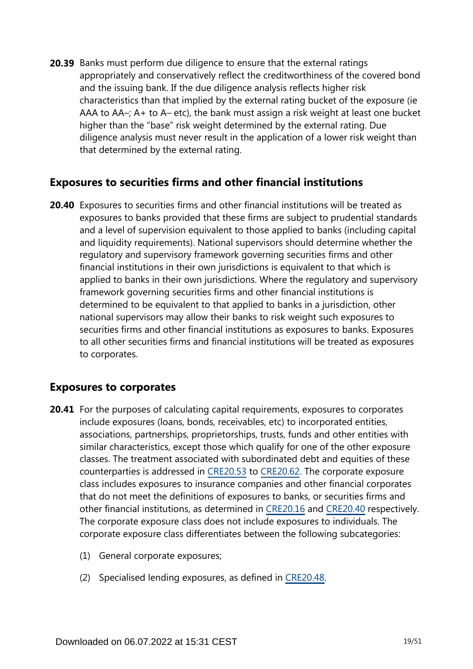**20.39** Banks must perform due diligence to ensure that the external ratings appropriately and conservatively reflect the creditworthiness of the covered bond and the issuing bank. If the due diligence analysis reflects higher risk characteristics than that implied by the external rating bucket of the exposure (ie AAA to AA–; A+ to A– etc), the bank must assign a risk weight at least one bucket higher than the "base" risk weight determined by the external rating. Due diligence analysis must never result in the application of a lower risk weight than that determined by the external rating.

# **Exposures to securities firms and other financial institutions**

**20.40** Exposures to securities firms and other financial institutions will be treated as exposures to banks provided that these firms are subject to prudential standards and a level of supervision equivalent to those applied to banks (including capital and liquidity requirements). National supervisors should determine whether the regulatory and supervisory framework governing securities firms and other financial institutions in their own jurisdictions is equivalent to that which is applied to banks in their own jurisdictions. Where the regulatory and supervisory framework governing securities firms and other financial institutions is determined to be equivalent to that applied to banks in a jurisdiction, other national supervisors may allow their banks to risk weight such exposures to securities firms and other financial institutions as exposures to banks. Exposures to all other securities firms and financial institutions will be treated as exposures to corporates.

# **Exposures to corporates**

- **20.41** For the purposes of calculating capital requirements, exposures to corporates include exposures (loans, bonds, receivables, etc) to incorporated entities, associations, partnerships, proprietorships, trusts, funds and other entities with similar characteristics, except those which qualify for one of the other exposure classes. The treatment associated with subordinated debt and equities of these counterparties is addressed in [CRE20.53](https://www.bis.org/basel_framework/chapter/CRE/20.htm?tldate=20250101&inforce=20220101&published=20191215#paragraph_CRE_20_20220101_20_53) to [CRE20.62](https://www.bis.org/basel_framework/chapter/CRE/20.htm?tldate=20250101&inforce=20220101&published=20191215#paragraph_CRE_20_20220101_20_62). The corporate exposure class includes exposures to insurance companies and other financial corporates that do not meet the definitions of exposures to banks, or securities firms and other financial institutions, as determined in [CRE20.16](https://www.bis.org/basel_framework/chapter/CRE/20.htm?tldate=20250101&inforce=20220101&published=20191215#paragraph_CRE_20_20220101_20_16) and [CRE20.40](https://www.bis.org/basel_framework/chapter/CRE/20.htm?tldate=20250101&inforce=20220101&published=20191215#paragraph_CRE_20_20220101_20_40) respectively. The corporate exposure class does not include exposures to individuals. The corporate exposure class differentiates between the following subcategories:
	- (1) General corporate exposures;
	- (2) Specialised lending exposures, as defined in [CRE20.48](https://www.bis.org/basel_framework/chapter/CRE/20.htm?tldate=20250101&inforce=20220101&published=20191215#paragraph_CRE_20_20220101_20_48).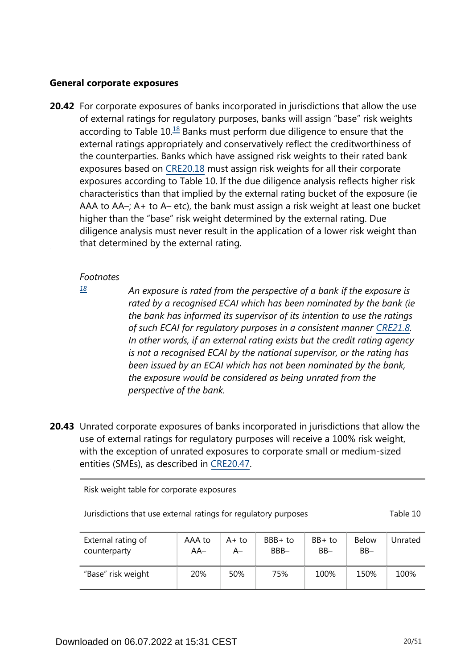#### **General corporate exposures**

<span id="page-19-1"></span>**20.42** For corporate exposures of banks incorporated in jurisdictions that allow the use of external ratings for regulatory purposes, banks will assign "base" risk weights according to Table  $10<sup>18</sup>$  $10<sup>18</sup>$  $10<sup>18</sup>$  Banks must perform due diligence to ensure that the external ratings appropriately and conservatively reflect the creditworthiness of the counterparties. Banks which have assigned risk weights to their rated bank exposures based on [CRE20.18](https://www.bis.org/basel_framework/chapter/CRE/20.htm?tldate=20250101&inforce=20220101&published=20191215#paragraph_CRE_20_20220101_20_18) must assign risk weights for all their corporate exposures according to Table 10. If the due diligence analysis reflects higher risk characteristics than that implied by the external rating bucket of the exposure (ie AAA to AA–; A+ to A– etc), the bank must assign a risk weight at least one bucket higher than the "base" risk weight determined by the external rating. Due diligence analysis must never result in the application of a lower risk weight than that determined by the external rating.

#### *Footnotes*

<span id="page-19-0"></span>*[18](#page-19-1)*

*An exposure is rated from the perspective of a bank if the exposure is rated by a recognised ECAI which has been nominated by the bank (ie the bank has informed its supervisor of its intention to use the ratings of such ECAI for regulatory purposes in a consistent manner [CRE21.8](https://www.bis.org/basel_framework/chapter/CRE/21.htm?tldate=20250101&inforce=20230101&published=20200327#paragraph_CRE_21_20230101_21_8). In other words, if an external rating exists but the credit rating agency is not a recognised ECAI by the national supervisor, or the rating has been issued by an ECAI which has not been nominated by the bank, the exposure would be considered as being unrated from the perspective of the bank.*

**20.43** Unrated corporate exposures of banks incorporated in jurisdictions that allow the use of external ratings for regulatory purposes will receive a 100% risk weight, with the exception of unrated exposures to corporate small or medium-sized entities (SMEs), as described in [CRE20.47](https://www.bis.org/basel_framework/chapter/CRE/20.htm?tldate=20250101&inforce=20220101&published=20191215#paragraph_CRE_20_20220101_20_47).

Risk weight table for corporate exposures

| Jurisdictions that use external ratings for regulatory purposes | Table 10 |
|-----------------------------------------------------------------|----------|
|-----------------------------------------------------------------|----------|

| External rating of | AAA to | $A+to$ | $BBB + to$ | BB+ to | <b>Below</b> | Unrated |
|--------------------|--------|--------|------------|--------|--------------|---------|
| counterparty       | AA–    | А–     | BBB-       | $BB -$ | $BB -$       |         |
| "Base" risk weight | 20%    | 50%    | 75%        | 100%   | 150%         | 100%    |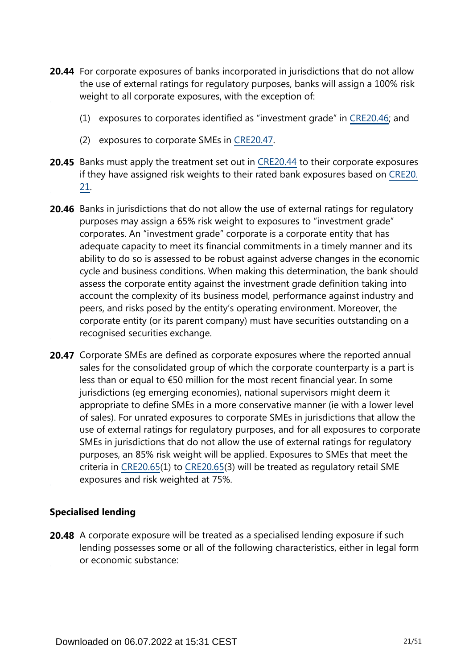- **20.44** For corporate exposures of banks incorporated in jurisdictions that do not allow the use of external ratings for regulatory purposes, banks will assign a 100% risk weight to all corporate exposures, with the exception of:
	- (1) exposures to corporates identified as "investment grade" in [CRE20.46;](https://www.bis.org/basel_framework/chapter/CRE/20.htm?tldate=20250101&inforce=20220101&published=20191215#paragraph_CRE_20_20220101_20_46) and
	- (2) exposures to corporate SMEs in [CRE20.47.](https://www.bis.org/basel_framework/chapter/CRE/20.htm?tldate=20250101&inforce=20220101&published=20191215#paragraph_CRE_20_20220101_20_47)
- **20.45** Banks must apply the treatment set out in [CRE20.44](https://www.bis.org/basel_framework/chapter/CRE/20.htm?tldate=20250101&inforce=20220101&published=20191215#paragraph_CRE_20_20220101_20_44) to their corporate exposures if they have assigned risk weights to their rated bank exposures based on [CRE20.](https://www.bis.org/basel_framework/chapter/CRE/20.htm?tldate=20250101&inforce=20220101&published=20191215#paragraph_CRE_20_20220101_20_21) [21](https://www.bis.org/basel_framework/chapter/CRE/20.htm?tldate=20250101&inforce=20220101&published=20191215#paragraph_CRE_20_20220101_20_21).
- **20.46** Banks in jurisdictions that do not allow the use of external ratings for regulatory purposes may assign a 65% risk weight to exposures to "investment grade" corporates. An "investment grade" corporate is a corporate entity that has adequate capacity to meet its financial commitments in a timely manner and its ability to do so is assessed to be robust against adverse changes in the economic cycle and business conditions. When making this determination, the bank should assess the corporate entity against the investment grade definition taking into account the complexity of its business model, performance against industry and peers, and risks posed by the entity's operating environment. Moreover, the corporate entity (or its parent company) must have securities outstanding on a recognised securities exchange.
- 20.47 Corporate SMEs are defined as corporate exposures where the reported annual sales for the consolidated group of which the corporate counterparty is a part is less than or equal to €50 million for the most recent financial year. In some jurisdictions (eg emerging economies), national supervisors might deem it appropriate to define SMEs in a more conservative manner (ie with a lower level of sales). For unrated exposures to corporate SMEs in jurisdictions that allow the use of external ratings for regulatory purposes, and for all exposures to corporate SMEs in jurisdictions that do not allow the use of external ratings for regulatory purposes, an 85% risk weight will be applied. Exposures to SMEs that meet the criteria in [CRE20.65\(](https://www.bis.org/basel_framework/chapter/CRE/20.htm?tldate=20250101&inforce=20220101&published=20191215#paragraph_CRE_20_20220101_20_65)1) to [CRE20.65](https://www.bis.org/basel_framework/chapter/CRE/20.htm?tldate=20250101&inforce=20220101&published=20191215#paragraph_CRE_20_20220101_20_65)(3) will be treated as regulatory retail SME exposures and risk weighted at 75%.

## **Specialised lending**

**20.48** A corporate exposure will be treated as a specialised lending exposure if such lending possesses some or all of the following characteristics, either in legal form or economic substance: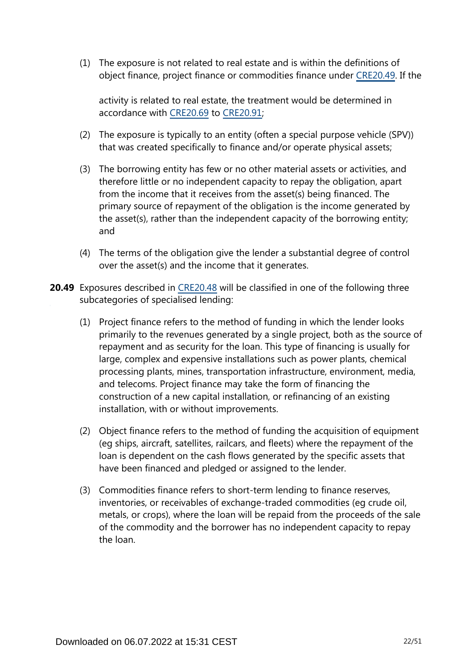(1) The exposure is not related to real estate and is within the definitions of object finance, project finance or commodities finance under [CRE20.49.](https://www.bis.org/basel_framework/chapter/CRE/20.htm?tldate=20250101&inforce=20220101&published=20191215#paragraph_CRE_20_20220101_20_49) If the

activity is related to real estate, the treatment would be determined in accordance with [CRE20.69](https://www.bis.org/basel_framework/chapter/CRE/20.htm?tldate=20250101&inforce=20220101&published=20191215#paragraph_CRE_20_20220101_20_69) to [CRE20.91;](https://www.bis.org/basel_framework/chapter/CRE/20.htm?tldate=20250101&inforce=20220101&published=20191215#paragraph_CRE_20_20220101_20_91)

- (2) The exposure is typically to an entity (often a special purpose vehicle (SPV)) that was created specifically to finance and/or operate physical assets;
- (3) The borrowing entity has few or no other material assets or activities, and therefore little or no independent capacity to repay the obligation, apart from the income that it receives from the asset(s) being financed. The primary source of repayment of the obligation is the income generated by the asset(s), rather than the independent capacity of the borrowing entity; and
- (4) The terms of the obligation give the lender a substantial degree of control over the asset(s) and the income that it generates.
- **20.49** Exposures described in [CRE20.48](https://www.bis.org/basel_framework/chapter/CRE/20.htm?tldate=20250101&inforce=20220101&published=20191215#paragraph_CRE_20_20220101_20_48) will be classified in one of the following three subcategories of specialised lending:
	- (1) Project finance refers to the method of funding in which the lender looks primarily to the revenues generated by a single project, both as the source of repayment and as security for the loan. This type of financing is usually for large, complex and expensive installations such as power plants, chemical processing plants, mines, transportation infrastructure, environment, media, and telecoms. Project finance may take the form of financing the construction of a new capital installation, or refinancing of an existing installation, with or without improvements.
	- (2) Object finance refers to the method of funding the acquisition of equipment (eg ships, aircraft, satellites, railcars, and fleets) where the repayment of the loan is dependent on the cash flows generated by the specific assets that have been financed and pledged or assigned to the lender.
	- (3) Commodities finance refers to short-term lending to finance reserves, inventories, or receivables of exchange-traded commodities (eg crude oil, metals, or crops), where the loan will be repaid from the proceeds of the sale of the commodity and the borrower has no independent capacity to repay the loan.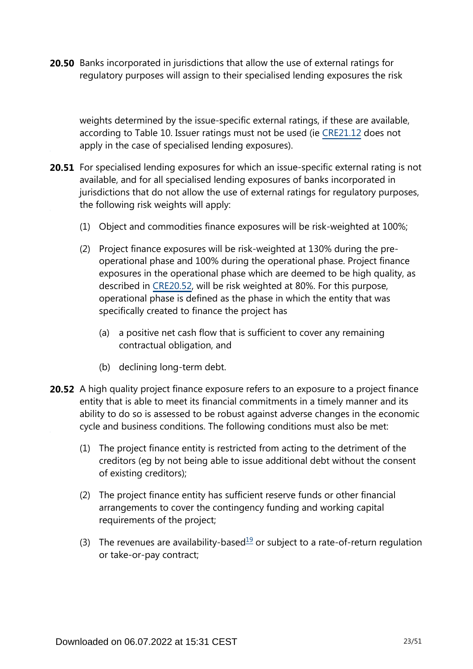**20.50** Banks incorporated in jurisdictions that allow the use of external ratings for regulatory purposes will assign to their specialised lending exposures the risk

weights determined by the issue-specific external ratings, if these are available, according to Table 10. Issuer ratings must not be used (ie [CRE21.12](https://www.bis.org/basel_framework/chapter/CRE/21.htm?tldate=20250101&inforce=20230101&published=20200327#paragraph_CRE_21_20230101_21_12) does not apply in the case of specialised lending exposures).

- **20.51** For specialised lending exposures for which an issue-specific external rating is not available, and for all specialised lending exposures of banks incorporated in jurisdictions that do not allow the use of external ratings for regulatory purposes, the following risk weights will apply:
	- (1) Object and commodities finance exposures will be risk-weighted at 100%;
	- (2) Project finance exposures will be risk-weighted at 130% during the preoperational phase and 100% during the operational phase. Project finance exposures in the operational phase which are deemed to be high quality, as described in [CRE20.52](https://www.bis.org/basel_framework/chapter/CRE/20.htm?tldate=20250101&inforce=20220101&published=20191215#paragraph_CRE_20_20220101_20_52), will be risk weighted at 80%. For this purpose, operational phase is defined as the phase in which the entity that was specifically created to finance the project has
		- (a) a positive net cash flow that is sufficient to cover any remaining contractual obligation, and
		- (b) declining long-term debt.
- <span id="page-22-0"></span>**20.52** A high quality project finance exposure refers to an exposure to a project finance entity that is able to meet its financial commitments in a timely manner and its ability to do so is assessed to be robust against adverse changes in the economic cycle and business conditions. The following conditions must also be met:
	- (1) The project finance entity is restricted from acting to the detriment of the creditors (eg by not being able to issue additional debt without the consent of existing creditors);
	- (2) The project finance entity has sufficient reserve funds or other financial arrangements to cover the contingency funding and working capital requirements of the project;
	- (3) The revenues are availability-based<sup>[19](#page-23-0)</sup> or subject to a rate-of-return regulation or take-or-pay contract;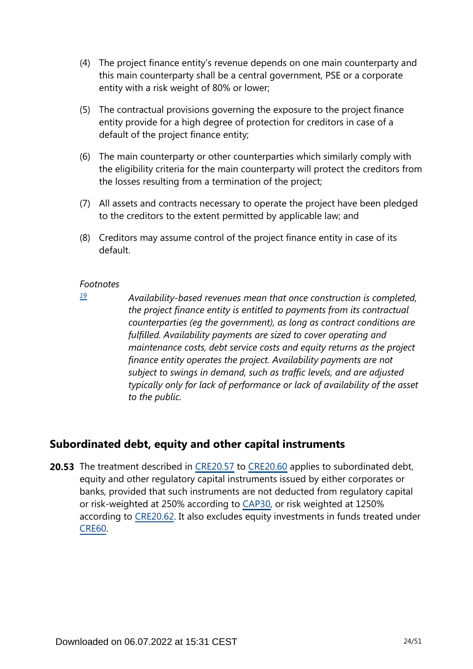- (4) The project finance entity's revenue depends on one main counterparty and this main counterparty shall be a central government, PSE or a corporate entity with a risk weight of 80% or lower;
- (5) The contractual provisions governing the exposure to the project finance entity provide for a high degree of protection for creditors in case of a default of the project finance entity;
- (6) The main counterparty or other counterparties which similarly comply with the eligibility criteria for the main counterparty will protect the creditors from the losses resulting from a termination of the project;
- (7) All assets and contracts necessary to operate the project have been pledged to the creditors to the extent permitted by applicable law; and
- (8) Creditors may assume control of the project finance entity in case of its default.

<span id="page-23-0"></span>*[19](#page-22-0)*

*Availability-based revenues mean that once construction is completed, the project finance entity is entitled to payments from its contractual counterparties (eg the government), as long as contract conditions are fulfilled. Availability payments are sized to cover operating and maintenance costs, debt service costs and equity returns as the project finance entity operates the project. Availability payments are not subject to swings in demand, such as traffic levels, and are adjusted typically only for lack of performance or lack of availability of the asset to the public.*

# **Subordinated debt, equity and other capital instruments**

**20.53** The treatment described in [CRE20.57](https://www.bis.org/basel_framework/chapter/CRE/20.htm?tldate=20250101&inforce=20220101&published=20191215#paragraph_CRE_20_20220101_20_57) to [CRE20.60](https://www.bis.org/basel_framework/chapter/CRE/20.htm?tldate=20250101&inforce=20220101&published=20191215#paragraph_CRE_20_20220101_20_60) applies to subordinated debt, equity and other regulatory capital instruments issued by either corporates or banks, provided that such instruments are not deducted from regulatory capital or risk-weighted at 250% according to [CAP30](https://www.bis.org/basel_framework/chapter/CAP/30.htm?tldate=20250101&inforce=20191215&published=20191215), or risk weighted at 1250% according to [CRE20.62](https://www.bis.org/basel_framework/chapter/CRE/20.htm?tldate=20250101&inforce=20220101&published=20191215#paragraph_CRE_20_20220101_20_62). It also excludes equity investments in funds treated under [CRE60.](https://www.bis.org/basel_framework/chapter/CRE/60.htm?tldate=20250101&inforce=20230101&published=20200327)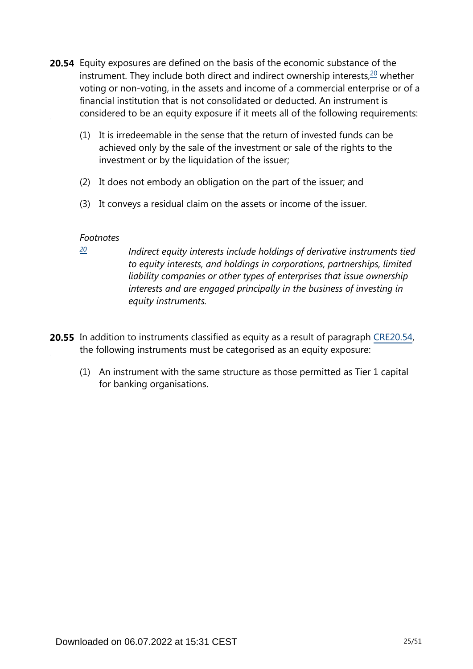- <span id="page-24-1"></span>**20.54** Equity exposures are defined on the basis of the economic substance of the instrument. They include both direct and indirect ownership interests, $20$  whether voting or non-voting, in the assets and income of a commercial enterprise or of a financial institution that is not consolidated or deducted. An instrument is considered to be an equity exposure if it meets all of the following requirements:
	- (1) It is irredeemable in the sense that the return of invested funds can be achieved only by the sale of the investment or sale of the rights to the investment or by the liquidation of the issuer;
	- (2) It does not embody an obligation on the part of the issuer; and
	- (3) It conveys a residual claim on the assets or income of the issuer.

<span id="page-24-0"></span>*[20](#page-24-1)*

*Indirect equity interests include holdings of derivative instruments tied to equity interests, and holdings in corporations, partnerships, limited liability companies or other types of enterprises that issue ownership interests and are engaged principally in the business of investing in equity instruments.*

- **20.55** In addition to instruments classified as equity as a result of paragraph [CRE20.54](https://www.bis.org/basel_framework/chapter/CRE/20.htm?tldate=20250101&inforce=20220101&published=20191215#paragraph_CRE_20_20220101_20_54), the following instruments must be categorised as an equity exposure:
	- (1) An instrument with the same structure as those permitted as Tier 1 capital for banking organisations.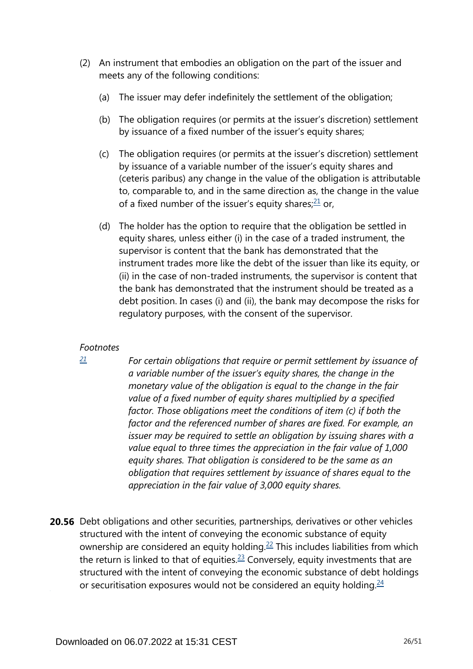- <span id="page-25-1"></span>(2) An instrument that embodies an obligation on the part of the issuer and meets any of the following conditions:
	- (a) The issuer may defer indefinitely the settlement of the obligation;
	- (b) The obligation requires (or permits at the issuer's discretion) settlement by issuance of a fixed number of the issuer's equity shares;
	- (c) The obligation requires (or permits at the issuer's discretion) settlement by issuance of a variable number of the issuer's equity shares and (ceteris paribus) any change in the value of the obligation is attributable to, comparable to, and in the same direction as, the change in the value of a fixed number of the issuer's equity shares; $21$  or,
	- (d) The holder has the option to require that the obligation be settled in equity shares, unless either (i) in the case of a traded instrument, the supervisor is content that the bank has demonstrated that the instrument trades more like the debt of the issuer than like its equity, or (ii) in the case of non-traded instruments, the supervisor is content that the bank has demonstrated that the instrument should be treated as a debt position. In cases (i) and (ii), the bank may decompose the risks for regulatory purposes, with the consent of the supervisor.

<span id="page-25-0"></span>*[21](#page-25-1)*

*For certain obligations that require or permit settlement by issuance of a variable number of the issuer's equity shares, the change in the monetary value of the obligation is equal to the change in the fair value of a fixed number of equity shares multiplied by a specified factor. Those obligations meet the conditions of item (c) if both the factor and the referenced number of shares are fixed. For example, an issuer may be required to settle an obligation by issuing shares with a value equal to three times the appreciation in the fair value of 1,000 equity shares. That obligation is considered to be the same as an obligation that requires settlement by issuance of shares equal to the appreciation in the fair value of 3,000 equity shares.*

<span id="page-25-4"></span><span id="page-25-3"></span><span id="page-25-2"></span>**20.56** Debt obligations and other securities, partnerships, derivatives or other vehicles structured with the intent of conveying the economic substance of equity ownership are considered an equity holding.<sup>[22](#page-26-0)</sup> This includes liabilities from which the return is linked to that of equities. $23$  Conversely, equity investments that are structured with the intent of conveying the economic substance of debt holdings or securitisation exposures would not be considered an equity holding. $24$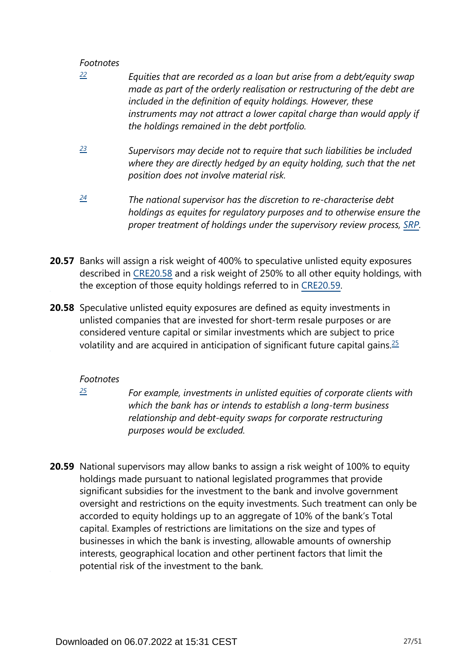- <span id="page-26-0"></span>*Equities that are recorded as a loan but arise from a debt/equity swap made as part of the orderly realisation or restructuring of the debt are included in the definition of equity holdings. However, these instruments may not attract a lower capital charge than would apply if the holdings remained in the debt portfolio. [22](#page-25-2)*
- <span id="page-26-1"></span>*Supervisors may decide not to require that such liabilities be included where they are directly hedged by an equity holding, such that the net position does not involve material risk. [23](#page-25-3)*
- <span id="page-26-2"></span>*The national supervisor has the discretion to re-characterise debt holdings as equites for regulatory purposes and to otherwise ensure the proper treatment of holdings under the supervisory review process, [SRP.](https://www.bis.org/basel_framework/standard/SRP.htm?tldate=20250101) [24](#page-25-4)*
- **20.57** Banks will assign a risk weight of 400% to speculative unlisted equity exposures described in [CRE20.58](https://www.bis.org/basel_framework/chapter/CRE/20.htm?tldate=20250101&inforce=20220101&published=20191215#paragraph_CRE_20_20220101_20_58) and a risk weight of 250% to all other equity holdings, with the exception of those equity holdings referred to in [CRE20.59.](https://www.bis.org/basel_framework/chapter/CRE/20.htm?tldate=20250101&inforce=20220101&published=20191215#paragraph_CRE_20_20220101_20_59)
- <span id="page-26-4"></span>**20.58** Speculative unlisted equity exposures are defined as equity investments in unlisted companies that are invested for short-term resale purposes or are considered venture capital or similar investments which are subject to price volatility and are acquired in anticipation of significant future capital gains.  $\frac{25}{5}$  $\frac{25}{5}$  $\frac{25}{5}$

## *Footnotes*

<span id="page-26-3"></span>*[25](#page-26-4)*

*For example, investments in unlisted equities of corporate clients with which the bank has or intends to establish a long-term business relationship and debt-equity swaps for corporate restructuring purposes would be excluded.*

**20.59** National supervisors may allow banks to assign a risk weight of 100% to equity holdings made pursuant to national legislated programmes that provide significant subsidies for the investment to the bank and involve government oversight and restrictions on the equity investments. Such treatment can only be accorded to equity holdings up to an aggregate of 10% of the bank's Total capital. Examples of restrictions are limitations on the size and types of businesses in which the bank is investing, allowable amounts of ownership interests, geographical location and other pertinent factors that limit the potential risk of the investment to the bank.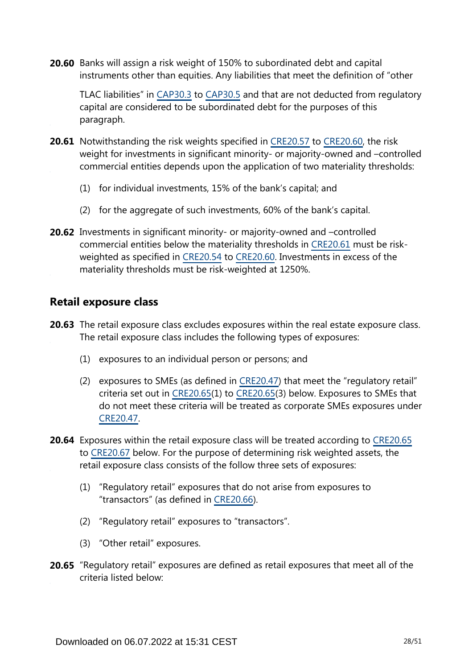**20.60** Banks will assign a risk weight of 150% to subordinated debt and capital instruments other than equities. Any liabilities that meet the definition of "other

TLAC liabilities" in [CAP30.3](https://www.bis.org/basel_framework/chapter/CAP/30.htm?tldate=20250101&inforce=20191215&published=20191215#paragraph_CAP_30_20191215_30_3) to [CAP30.5](https://www.bis.org/basel_framework/chapter/CAP/30.htm?tldate=20250101&inforce=20191215&published=20191215#paragraph_CAP_30_20191215_30_5) and that are not deducted from regulatory capital are considered to be subordinated debt for the purposes of this paragraph.

- **20.61** Notwithstanding the risk weights specified in [CRE20.57](https://www.bis.org/basel_framework/chapter/CRE/20.htm?tldate=20250101&inforce=20220101&published=20191215#paragraph_CRE_20_20220101_20_57) to [CRE20.60,](https://www.bis.org/basel_framework/chapter/CRE/20.htm?tldate=20250101&inforce=20220101&published=20191215#paragraph_CRE_20_20220101_20_60) the risk weight for investments in significant minority- or majority-owned and –controlled commercial entities depends upon the application of two materiality thresholds:
	- (1) for individual investments, 15% of the bank's capital; and
	- (2) for the aggregate of such investments, 60% of the bank's capital.
- **20.62** Investments in significant minority- or majority-owned and -controlled commercial entities below the materiality thresholds in [CRE20.61](https://www.bis.org/basel_framework/chapter/CRE/20.htm?tldate=20250101&inforce=20220101&published=20191215#paragraph_CRE_20_20220101_20_61) must be riskweighted as specified in [CRE20.54](https://www.bis.org/basel_framework/chapter/CRE/20.htm?tldate=20250101&inforce=20220101&published=20191215#paragraph_CRE_20_20220101_20_54) to [CRE20.60](https://www.bis.org/basel_framework/chapter/CRE/20.htm?tldate=20250101&inforce=20220101&published=20191215#paragraph_CRE_20_20220101_20_60). Investments in excess of the materiality thresholds must be risk-weighted at 1250%.

# **Retail exposure class**

- **20.63** The retail exposure class excludes exposures within the real estate exposure class. The retail exposure class includes the following types of exposures:
	- (1) exposures to an individual person or persons; and
	- (2) exposures to SMEs (as defined in [CRE20.47\)](https://www.bis.org/basel_framework/chapter/CRE/20.htm?tldate=20250101&inforce=20220101&published=20191215#paragraph_CRE_20_20220101_20_47) that meet the "regulatory retail" criteria set out in [CRE20.65\(](https://www.bis.org/basel_framework/chapter/CRE/20.htm?tldate=20250101&inforce=20220101&published=20191215#paragraph_CRE_20_20220101_20_65)1) to [CRE20.65](https://www.bis.org/basel_framework/chapter/CRE/20.htm?tldate=20250101&inforce=20220101&published=20191215#paragraph_CRE_20_20220101_20_65)(3) below. Exposures to SMEs that do not meet these criteria will be treated as corporate SMEs exposures under [CRE20.47.](https://www.bis.org/basel_framework/chapter/CRE/20.htm?tldate=20250101&inforce=20220101&published=20191215#paragraph_CRE_20_20220101_20_47)
- **20.64** Exposures within the retail exposure class will be treated according to [CRE20.65](https://www.bis.org/basel_framework/chapter/CRE/20.htm?tldate=20250101&inforce=20220101&published=20191215#paragraph_CRE_20_20220101_20_65) to [CRE20.67](https://www.bis.org/basel_framework/chapter/CRE/20.htm?tldate=20250101&inforce=20220101&published=20191215#paragraph_CRE_20_20220101_20_67) below. For the purpose of determining risk weighted assets, the retail exposure class consists of the follow three sets of exposures:
	- (1) "Regulatory retail" exposures that do not arise from exposures to "transactors" (as defined in [CRE20.66\)](https://www.bis.org/basel_framework/chapter/CRE/20.htm?tldate=20250101&inforce=20220101&published=20191215#paragraph_CRE_20_20220101_20_66).
	- (2) "Regulatory retail" exposures to "transactors".
	- (3) "Other retail" exposures.
- **20.65** "Regulatory retail" exposures are defined as retail exposures that meet all of the criteria listed below: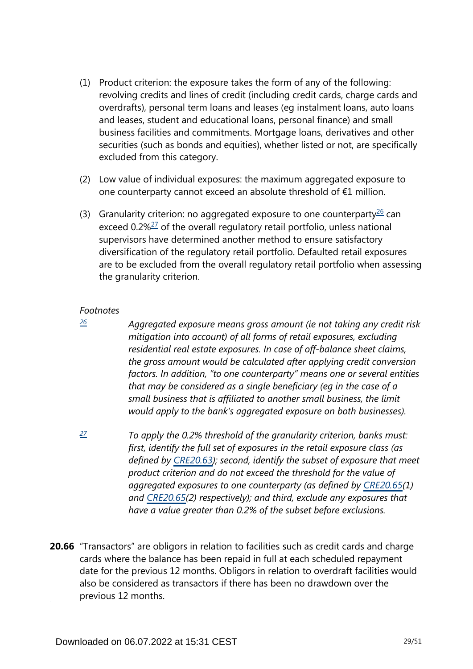- (1) Product criterion: the exposure takes the form of any of the following: revolving credits and lines of credit (including credit cards, charge cards and overdrafts), personal term loans and leases (eg instalment loans, auto loans and leases, student and educational loans, personal finance) and small business facilities and commitments. Mortgage loans, derivatives and other securities (such as bonds and equities), whether listed or not, are specifically excluded from this category.
- (2) Low value of individual exposures: the maximum aggregated exposure to one counterparty cannot exceed an absolute threshold of €1 million.
- <span id="page-28-3"></span><span id="page-28-2"></span>(3) Granularity criterion: no aggregated exposure to one counterparty $^{26}$  $^{26}$  $^{26}$  can exceed 0.2%<sup>[27](#page-28-1)</sup> of the overall regulatory retail portfolio, unless national supervisors have determined another method to ensure satisfactory diversification of the regulatory retail portfolio. Defaulted retail exposures are to be excluded from the overall regulatory retail portfolio when assessing the granularity criterion.

<span id="page-28-0"></span>*[26](#page-28-2)*

*Aggregated exposure means gross amount (ie not taking any credit risk mitigation into account) of all forms of retail exposures, excluding residential real estate exposures. In case of off-balance sheet claims, the gross amount would be calculated after applying credit conversion factors. In addition, "to one counterparty" means one or several entities that may be considered as a single beneficiary (eg in the case of a small business that is affiliated to another small business, the limit would apply to the bank's aggregated exposure on both businesses).*

- <span id="page-28-1"></span>*To apply the 0.2% threshold of the granularity criterion, banks must: first, identify the full set of exposures in the retail exposure class (as defined by [CRE20.63\)](https://www.bis.org/basel_framework/chapter/CRE/20.htm?tldate=20250101&inforce=20220101&published=20191215#paragraph_CRE_20_20220101_20_63); second, identify the subset of exposure that meet product criterion and do not exceed the threshold for the value of aggregated exposures to one counterparty (as defined by [CRE20.65\(](https://www.bis.org/basel_framework/chapter/CRE/20.htm?tldate=20250101&inforce=20220101&published=20191215#paragraph_CRE_20_20220101_20_65)1) and [CRE20.65\(](https://www.bis.org/basel_framework/chapter/CRE/20.htm?tldate=20250101&inforce=20220101&published=20191215#paragraph_CRE_20_20220101_20_65)2) respectively); and third, exclude any exposures that have a value greater than 0.2% of the subset before exclusions. [27](#page-28-3)*
- **20.66** "Transactors" are obligors in relation to facilities such as credit cards and charge cards where the balance has been repaid in full at each scheduled repayment date for the previous 12 months. Obligors in relation to overdraft facilities would also be considered as transactors if there has been no drawdown over the previous 12 months.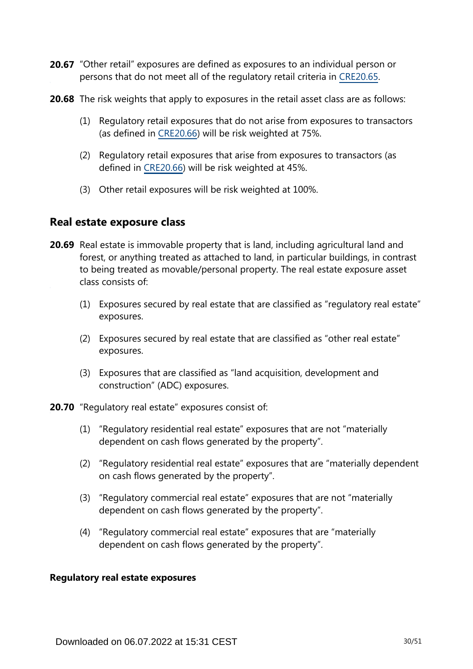- 20.67 "Other retail" exposures are defined as exposures to an individual person or persons that do not meet all of the regulatory retail criteria in [CRE20.65](https://www.bis.org/basel_framework/chapter/CRE/20.htm?tldate=20250101&inforce=20220101&published=20191215#paragraph_CRE_20_20220101_20_65).
- **20.68** The risk weights that apply to exposures in the retail asset class are as follows:
	- (1) Regulatory retail exposures that do not arise from exposures to transactors (as defined in [CRE20.66](https://www.bis.org/basel_framework/chapter/CRE/20.htm?tldate=20250101&inforce=20220101&published=20191215#paragraph_CRE_20_20220101_20_66)) will be risk weighted at 75%.
	- (2) Regulatory retail exposures that arise from exposures to transactors (as defined in [CRE20.66](https://www.bis.org/basel_framework/chapter/CRE/20.htm?tldate=20250101&inforce=20220101&published=20191215#paragraph_CRE_20_20220101_20_66)) will be risk weighted at 45%.
	- (3) Other retail exposures will be risk weighted at 100%.

# **Real estate exposure class**

- **20.69** Real estate is immovable property that is land, including agricultural land and forest, or anything treated as attached to land, in particular buildings, in contrast to being treated as movable/personal property. The real estate exposure asset class consists of:
	- (1) Exposures secured by real estate that are classified as "regulatory real estate" exposures.
	- (2) Exposures secured by real estate that are classified as "other real estate" exposures.
	- (3) Exposures that are classified as "land acquisition, development and construction" (ADC) exposures.
- **20.70** "Regulatory real estate" exposures consist of:
	- (1) "Regulatory residential real estate" exposures that are not "materially dependent on cash flows generated by the property".
	- (2) "Regulatory residential real estate" exposures that are "materially dependent on cash flows generated by the property".
	- (3) "Regulatory commercial real estate" exposures that are not "materially dependent on cash flows generated by the property".
	- (4) "Regulatory commercial real estate" exposures that are "materially dependent on cash flows generated by the property".

#### **Regulatory real estate exposures**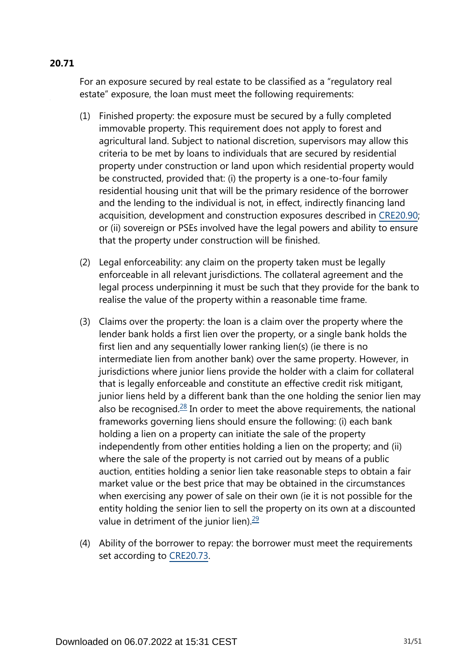# For an exposure secured by real estate to be classified as a "regulatory real estate" exposure, the loan must meet the following requirements:

- (1) Finished property: the exposure must be secured by a fully completed immovable property. This requirement does not apply to forest and agricultural land. Subject to national discretion, supervisors may allow this criteria to be met by loans to individuals that are secured by residential property under construction or land upon which residential property would be constructed, provided that: (i) the property is a one-to-four family residential housing unit that will be the primary residence of the borrower and the lending to the individual is not, in effect, indirectly financing land acquisition, development and construction exposures described in [CRE20.90](https://www.bis.org/basel_framework/chapter/CRE/20.htm?tldate=20250101&inforce=20220101&published=20191215#paragraph_CRE_20_20220101_20_90); or (ii) sovereign or PSEs involved have the legal powers and ability to ensure that the property under construction will be finished.
- (2) Legal enforceability: any claim on the property taken must be legally enforceable in all relevant jurisdictions. The collateral agreement and the legal process underpinning it must be such that they provide for the bank to realise the value of the property within a reasonable time frame.
- <span id="page-30-0"></span>(3) Claims over the property: the loan is a claim over the property where the lender bank holds a first lien over the property, or a single bank holds the first lien and any sequentially lower ranking lien(s) (ie there is no intermediate lien from another bank) over the same property. However, in jurisdictions where junior liens provide the holder with a claim for collateral that is legally enforceable and constitute an effective credit risk mitigant, junior liens held by a different bank than the one holding the senior lien may also be recognised. $28$  In order to meet the above requirements, the national frameworks governing liens should ensure the following: (i) each bank holding a lien on a property can initiate the sale of the property independently from other entities holding a lien on the property; and (ii) where the sale of the property is not carried out by means of a public auction, entities holding a senior lien take reasonable steps to obtain a fair market value or the best price that may be obtained in the circumstances when exercising any power of sale on their own (ie it is not possible for the entity holding the senior lien to sell the property on its own at a discounted value in detriment of the junior lien). $\frac{29}{2}$  $\frac{29}{2}$  $\frac{29}{2}$
- <span id="page-30-1"></span>(4) Ability of the borrower to repay: the borrower must meet the requirements set according to [CRE20.73](https://www.bis.org/basel_framework/chapter/CRE/20.htm?tldate=20250101&inforce=20220101&published=20191215#paragraph_CRE_20_20220101_20_73).

# **20.71**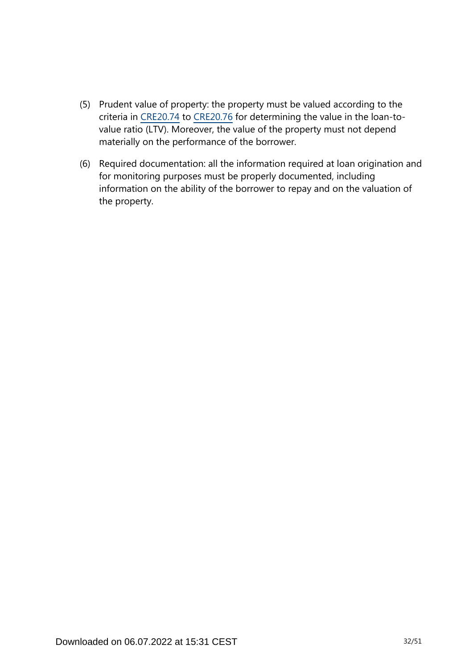- (5) Prudent value of property: the property must be valued according to the criteria in [CRE20.74](https://www.bis.org/basel_framework/chapter/CRE/20.htm?tldate=20250101&inforce=20220101&published=20191215#paragraph_CRE_20_20220101_20_74) to [CRE20.76](https://www.bis.org/basel_framework/chapter/CRE/20.htm?tldate=20250101&inforce=20220101&published=20191215#paragraph_CRE_20_20220101_20_76) for determining the value in the loan-tovalue ratio (LTV). Moreover, the value of the property must not depend materially on the performance of the borrower.
- (6) Required documentation: all the information required at loan origination and for monitoring purposes must be properly documented, including information on the ability of the borrower to repay and on the valuation of the property.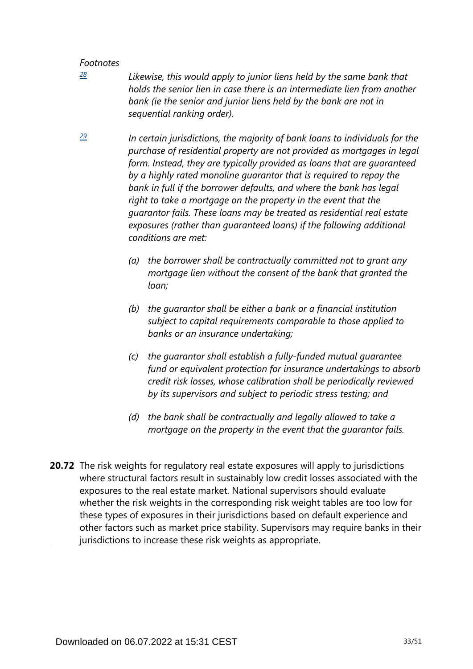<span id="page-32-0"></span>*[28](#page-30-0)*

*Likewise, this would apply to junior liens held by the same bank that holds the senior lien in case there is an intermediate lien from another*  bank (ie the senior and junior liens held by the bank are not in *sequential ranking order).*

<span id="page-32-1"></span>*In certain jurisdictions, the majority of bank loans to individuals for the purchase of residential property are not provided as mortgages in legal form. Instead, they are typically provided as loans that are guaranteed by a highly rated monoline guarantor that is required to repay the bank in full if the borrower defaults, and where the bank has legal right to take a mortgage on the property in the event that the guarantor fails. These loans may be treated as residential real estate exposures (rather than guaranteed loans) if the following additional conditions are met: [29](#page-30-1)*

- *(a) the borrower shall be contractually committed not to grant any mortgage lien without the consent of the bank that granted the loan;*
- *(b) the guarantor shall be either a bank or a financial institution subject to capital requirements comparable to those applied to banks or an insurance undertaking;*
- *(c) the guarantor shall establish a fully-funded mutual guarantee fund or equivalent protection for insurance undertakings to absorb credit risk losses, whose calibration shall be periodically reviewed by its supervisors and subject to periodic stress testing; and*
- *(d) the bank shall be contractually and legally allowed to take a mortgage on the property in the event that the guarantor fails.*
- **20.72** The risk weights for regulatory real estate exposures will apply to jurisdictions where structural factors result in sustainably low credit losses associated with the exposures to the real estate market. National supervisors should evaluate whether the risk weights in the corresponding risk weight tables are too low for these types of exposures in their jurisdictions based on default experience and other factors such as market price stability. Supervisors may require banks in their jurisdictions to increase these risk weights as appropriate.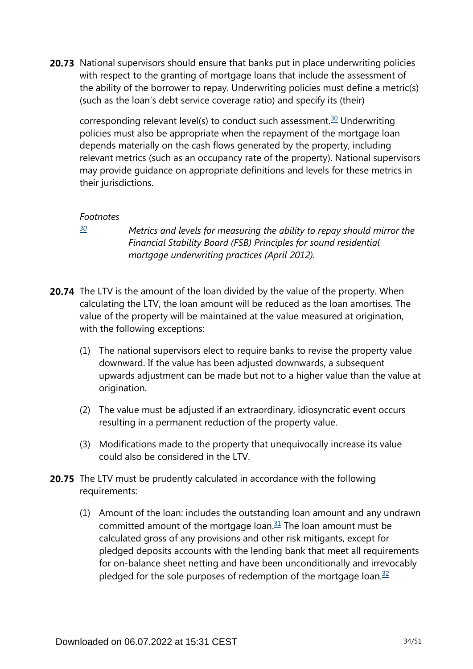<span id="page-33-1"></span>**20.73** National supervisors should ensure that banks put in place underwriting policies with respect to the granting of mortgage loans that include the assessment of the ability of the borrower to repay. Underwriting policies must define a metric(s) (such as the loan's debt service coverage ratio) and specify its (their)

corresponding relevant level(s) to conduct such assessment.<sup>[30](#page-33-0)</sup> Underwriting policies must also be appropriate when the repayment of the mortgage loan depends materially on the cash flows generated by the property, including relevant metrics (such as an occupancy rate of the property). National supervisors may provide guidance on appropriate definitions and levels for these metrics in their jurisdictions.

#### *Footnotes*

<span id="page-33-0"></span>*[30](#page-33-1)*

*Metrics and levels for measuring the ability to repay should mirror the Financial Stability Board (FSB) Principles for sound residential mortgage underwriting practices (April 2012).*

- **20.74** The LTV is the amount of the loan divided by the value of the property. When calculating the LTV, the loan amount will be reduced as the loan amortises. The value of the property will be maintained at the value measured at origination, with the following exceptions:
	- (1) The national supervisors elect to require banks to revise the property value downward. If the value has been adjusted downwards, a subsequent upwards adjustment can be made but not to a higher value than the value at origination.
	- (2) The value must be adjusted if an extraordinary, idiosyncratic event occurs resulting in a permanent reduction of the property value.
	- (3) Modifications made to the property that unequivocally increase its value could also be considered in the LTV.
- <span id="page-33-3"></span><span id="page-33-2"></span>**20.75** The LTV must be prudently calculated in accordance with the following requirements:
	- (1) Amount of the loan: includes the outstanding loan amount and any undrawn committed amount of the mortgage loan. $31$  The loan amount must be calculated gross of any provisions and other risk mitigants, except for pledged deposits accounts with the lending bank that meet all requirements for on-balance sheet netting and have been unconditionally and irrevocably pledged for the sole purposes of redemption of the mortgage loan. $32$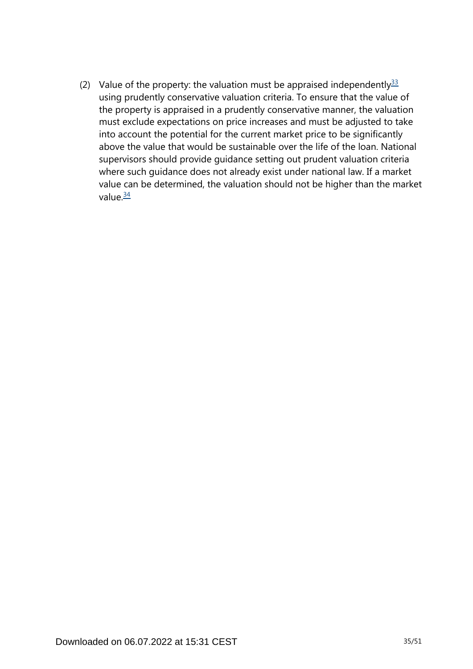<span id="page-34-1"></span><span id="page-34-0"></span>(2) Value of the property: the valuation must be appraised independently  $33$ using prudently conservative valuation criteria. To ensure that the value of the property is appraised in a prudently conservative manner, the valuation must exclude expectations on price increases and must be adjusted to take into account the potential for the current market price to be significantly above the value that would be sustainable over the life of the loan. National supervisors should provide guidance setting out prudent valuation criteria where such guidance does not already exist under national law. If a market value can be determined, the valuation should not be higher than the market value $\frac{34}{5}$  $\frac{34}{5}$  $\frac{34}{5}$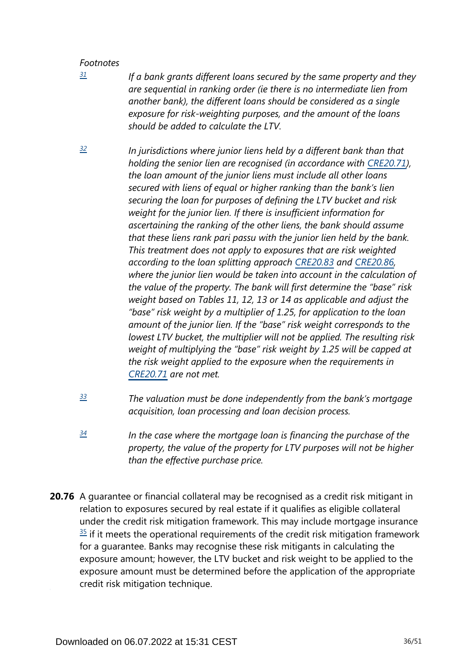<span id="page-35-0"></span>*[31](#page-33-2)*

*If a bank grants different loans secured by the same property and they are sequential in ranking order (ie there is no intermediate lien from another bank), the different loans should be considered as a single exposure for risk-weighting purposes, and the amount of the loans should be added to calculate the LTV.*

- <span id="page-35-1"></span>*In jurisdictions where junior liens held by a different bank than that holding the senior lien are recognised (in accordance with [CRE20.71\)](https://www.bis.org/basel_framework/chapter/CRE/20.htm?tldate=20250101&inforce=20220101&published=20191215#paragraph_CRE_20_20220101_20_71), the loan amount of the junior liens must include all other loans secured with liens of equal or higher ranking than the bank's lien securing the loan for purposes of defining the LTV bucket and risk weight for the junior lien. If there is insufficient information for ascertaining the ranking of the other liens, the bank should assume that these liens rank pari passu with the junior lien held by the bank. This treatment does not apply to exposures that are risk weighted according to the loan splitting approach [CRE20.83](https://www.bis.org/basel_framework/chapter/CRE/20.htm?tldate=20250101&inforce=20220101&published=20191215#paragraph_CRE_20_20220101_20_83) and [CRE20.86,](https://www.bis.org/basel_framework/chapter/CRE/20.htm?tldate=20250101&inforce=20220101&published=20191215#paragraph_CRE_20_20220101_20_86) where the junior lien would be taken into account in the calculation of the value of the property. The bank will first determine the "base" risk weight based on Tables 11, 12, 13 or 14 as applicable and adjust the "base" risk weight by a multiplier of 1.25, for application to the loan amount of the junior lien. If the "base" risk weight corresponds to the lowest LTV bucket, the multiplier will not be applied. The resulting risk weight of multiplying the "base" risk weight by 1.25 will be capped at the risk weight applied to the exposure when the requirements in [CRE20.71](https://www.bis.org/basel_framework/chapter/CRE/20.htm?tldate=20250101&inforce=20220101&published=20191215#paragraph_CRE_20_20220101_20_71) are not met. [32](#page-33-3)*
- <span id="page-35-2"></span>*The valuation must be done independently from the bank's mortgage acquisition, loan processing and loan decision process. [33](#page-34-0)*
- <span id="page-35-3"></span>*In the case where the mortgage loan is financing the purchase of the property, the value of the property for LTV purposes will not be higher than the effective purchase price. [34](#page-34-1)*
- **20.76** A guarantee or financial collateral may be recognised as a credit risk mitigant in relation to exposures secured by real estate if it qualifies as eligible collateral under the credit risk mitigation framework. This may include mortgage insurance  $35$  if it meets the operational requirements of the credit risk mitigation framework for a guarantee. Banks may recognise these risk mitigants in calculating the exposure amount; however, the LTV bucket and risk weight to be applied to the exposure amount must be determined before the application of the appropriate credit risk mitigation technique.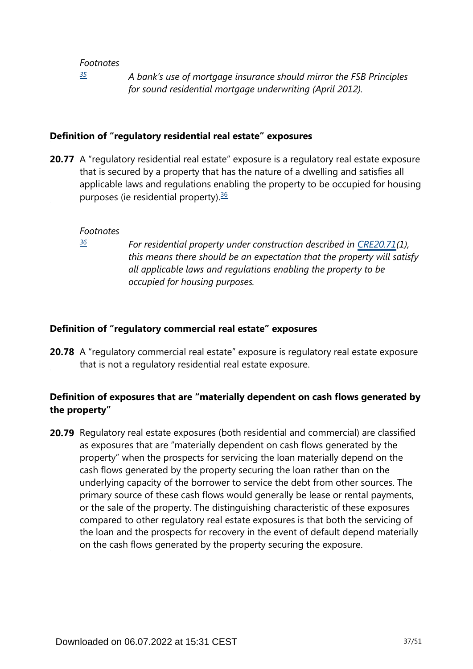*[35](#page-0-0)*

*A bank's use of mortgage insurance should mirror the FSB Principles for sound residential mortgage underwriting (April 2012).*

### <span id="page-36-0"></span>**Definition of "regulatory residential real estate" exposures**

<span id="page-36-2"></span>**20.77** A "regulatory residential real estate" exposure is a regulatory real estate exposure that is secured by a property that has the nature of a dwelling and satisfies all applicable laws and regulations enabling the property to be occupied for housing purposes (ie residential property). $36$ 

#### *Footnotes*

<span id="page-36-1"></span>*[36](#page-36-2)*

*For residential property under construction described in [CRE20.71\(](https://www.bis.org/basel_framework/chapter/CRE/20.htm?tldate=20250101&inforce=20220101&published=20191215#paragraph_CRE_20_20220101_20_71)1), this means there should be an expectation that the property will satisfy all applicable laws and regulations enabling the property to be occupied for housing purposes.*

#### **Definition of "regulatory commercial real estate" exposures**

**20.78** A "regulatory commercial real estate" exposure is regulatory real estate exposure that is not a regulatory residential real estate exposure.

# **Definition of exposures that are "materially dependent on cash flows generated by the property"**

**20.79** Regulatory real estate exposures (both residential and commercial) are classified as exposures that are "materially dependent on cash flows generated by the property" when the prospects for servicing the loan materially depend on the cash flows generated by the property securing the loan rather than on the underlying capacity of the borrower to service the debt from other sources. The primary source of these cash flows would generally be lease or rental payments, or the sale of the property. The distinguishing characteristic of these exposures compared to other regulatory real estate exposures is that both the servicing of the loan and the prospects for recovery in the event of default depend materially on the cash flows generated by the property securing the exposure.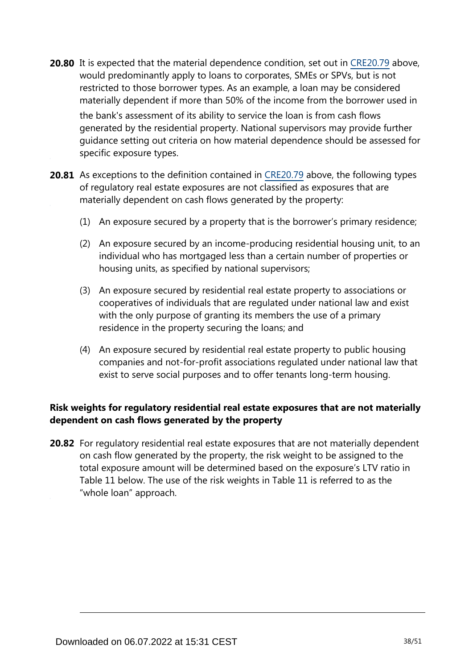**20.80** It is expected that the material dependence condition, set out in [CRE20.79](https://www.bis.org/basel_framework/chapter/CRE/20.htm?tldate=20250101&inforce=20220101&published=20191215#paragraph_CRE_20_20220101_20_79) above, would predominantly apply to loans to corporates, SMEs or SPVs, but is not restricted to those borrower types. As an example, a loan may be considered materially dependent if more than 50% of the income from the borrower used in the bank's assessment of its ability to service the loan is from cash flows generated by the residential property. National supervisors may provide further

guidance setting out criteria on how material dependence should be assessed for specific exposure types.

- **20.81** As exceptions to the definition contained in [CRE20.79](https://www.bis.org/basel_framework/chapter/CRE/20.htm?tldate=20250101&inforce=20220101&published=20191215#paragraph_CRE_20_20220101_20_79) above, the following types of regulatory real estate exposures are not classified as exposures that are materially dependent on cash flows generated by the property:
	- (1) An exposure secured by a property that is the borrower's primary residence;
	- (2) An exposure secured by an income-producing residential housing unit, to an individual who has mortgaged less than a certain number of properties or housing units, as specified by national supervisors;
	- (3) An exposure secured by residential real estate property to associations or cooperatives of individuals that are regulated under national law and exist with the only purpose of granting its members the use of a primary residence in the property securing the loans; and
	- (4) An exposure secured by residential real estate property to public housing companies and not-for-profit associations regulated under national law that exist to serve social purposes and to offer tenants long-term housing.

# **Risk weights for regulatory residential real estate exposures that are not materially dependent on cash flows generated by the property**

**20.82** For regulatory residential real estate exposures that are not materially dependent on cash flow generated by the property, the risk weight to be assigned to the total exposure amount will be determined based on the exposure's LTV ratio in Table 11 below. The use of the risk weights in Table 11 is referred to as the "whole loan" approach.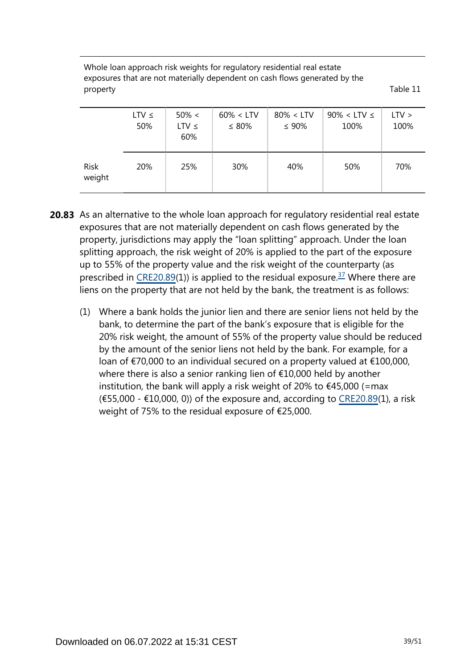Whole loan approach risk weights for regulatory residential real estate exposures that are not materially dependent on cash flows generated by the property Table 11

|                       | $LTV \leq$<br>50% | $50\% <$<br>$LTV \leq$<br>60% | $60\% < LTV$<br>$\leq 80\%$ | $80\% < LTV$<br>$\leq 90\%$ | $90\% <$ LTV $\leq$<br>100% | $LTV$ ><br>100% |
|-----------------------|-------------------|-------------------------------|-----------------------------|-----------------------------|-----------------------------|-----------------|
| <b>Risk</b><br>weight | 20%               | 25%                           | 30%                         | 40%                         | 50%                         | 70%             |

- <span id="page-38-0"></span>**20.83** As an alternative to the whole loan approach for regulatory residential real estate exposures that are not materially dependent on cash flows generated by the property, jurisdictions may apply the "loan splitting" approach. Under the loan splitting approach, the risk weight of 20% is applied to the part of the exposure up to 55% of the property value and the risk weight of the counterparty (as prescribed in [CRE20.89](https://www.bis.org/basel_framework/chapter/CRE/20.htm?tldate=20250101&inforce=20220101&published=20191215#paragraph_CRE_20_20220101_20_89)(1)) is applied to the residual exposure.<sup>[37](#page-39-0)</sup> Where there are liens on the property that are not held by the bank, the treatment is as follows:
	- (1) Where a bank holds the junior lien and there are senior liens not held by the bank, to determine the part of the bank's exposure that is eligible for the 20% risk weight, the amount of 55% of the property value should be reduced by the amount of the senior liens not held by the bank. For example, for a loan of €70,000 to an individual secured on a property valued at €100,000, where there is also a senior ranking lien of €10,000 held by another institution, the bank will apply a risk weight of 20% to  $\epsilon$ 45,000 (=max  $(655,000 - 10,000, 0)$  of the exposure and, according to [CRE20.89\(](https://www.bis.org/basel_framework/chapter/CRE/20.htm?tldate=20250101&inforce=20220101&published=20191215#paragraph_CRE_20_20220101_20_89)1), a risk weight of 75% to the residual exposure of €25,000.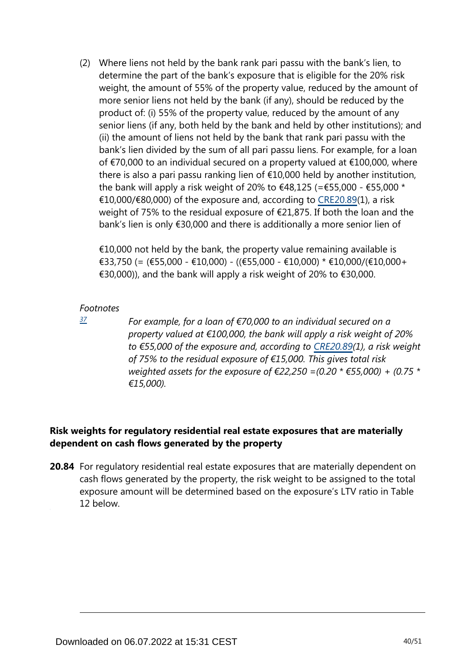(2) Where liens not held by the bank rank pari passu with the bank's lien, to determine the part of the bank's exposure that is eligible for the 20% risk weight, the amount of 55% of the property value, reduced by the amount of more senior liens not held by the bank (if any), should be reduced by the product of: (i) 55% of the property value, reduced by the amount of any senior liens (if any, both held by the bank and held by other institutions); and (ii) the amount of liens not held by the bank that rank pari passu with the bank's lien divided by the sum of all pari passu liens. For example, for a loan of €70,000 to an individual secured on a property valued at €100,000, where there is also a pari passu ranking lien of €10,000 held by another institution, the bank will apply a risk weight of 20% to  $\epsilon$ 48,125 (= $\epsilon$ 55,000 -  $\epsilon$ 55,000 \* €10,000/€80,000) of the exposure and, according to [CRE20.89\(](https://www.bis.org/basel_framework/chapter/CRE/20.htm?tldate=20250101&inforce=20220101&published=20191215#paragraph_CRE_20_20220101_20_89)1), a risk weight of 75% to the residual exposure of €21,875. If both the loan and the bank's lien is only €30,000 and there is additionally a more senior lien of

 $\epsilon$ 10,000 not held by the bank, the property value remaining available is €33,750 (= (€55,000 - €10,000) - ((€55,000 - €10,000) \* €10,000/(€10,000+ €30,000)), and the bank will apply a risk weight of 20% to €30,000.

#### <span id="page-39-0"></span>*Footnotes*

*[37](#page-38-0)*

*For example, for a loan of €70,000 to an individual secured on a property valued at €100,000, the bank will apply a risk weight of 20% to €55,000 of the exposure and, according to [CRE20.89](https://www.bis.org/basel_framework/chapter/CRE/20.htm?tldate=20250101&inforce=20220101&published=20191215#paragraph_CRE_20_20220101_20_89)(1), a risk weight of 75% to the residual exposure of €15,000. This gives total risk weighted assets for the exposure of €22,250 =(0.20 \* €55,000) + (0.75 \* €15,000).*

# **Risk weights for regulatory residential real estate exposures that are materially dependent on cash flows generated by the property**

**20.84** For regulatory residential real estate exposures that are materially dependent on cash flows generated by the property, the risk weight to be assigned to the total exposure amount will be determined based on the exposure's LTV ratio in Table 12 below.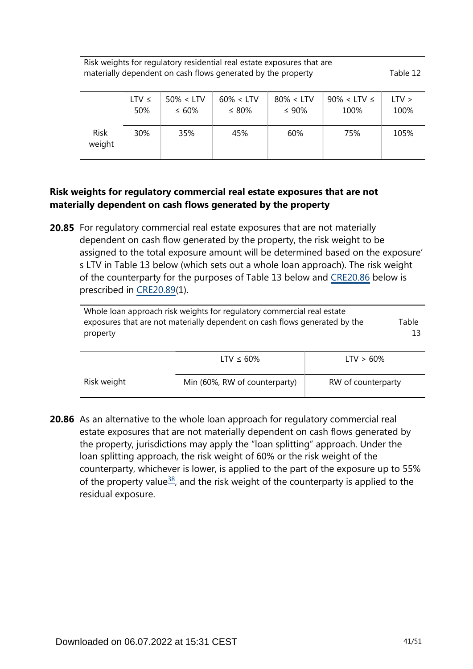Risk weights for regulatory residential real estate exposures that are materially dependent on cash flows generated by the property Table 12

|                       | LTV $\leq$ | $50\% < LTV$ | $60\% < LTV$ | $80\% < LTV$ | $90\% <$ LTV $\leq$ | LTV > |
|-----------------------|------------|--------------|--------------|--------------|---------------------|-------|
|                       | 50%        | $\leq 60\%$  | $\leq 80\%$  | $\leq 90\%$  | 100%                | 100%  |
| <b>Risk</b><br>weight | 30%        | 35%          | 45%          | 60%          | 75%                 | 105%  |

## **Risk weights for regulatory commercial real estate exposures that are not materially dependent on cash flows generated by the property**

**20.85** For regulatory commercial real estate exposures that are not materially dependent on cash flow generated by the property, the risk weight to be assigned to the total exposure amount will be determined based on the exposure' s LTV in Table 13 below (which sets out a whole loan approach). The risk weight of the counterparty for the purposes of Table 13 below and [CRE20.86](https://www.bis.org/basel_framework/chapter/CRE/20.htm?tldate=20250101&inforce=20220101&published=20191215#paragraph_CRE_20_20220101_20_86) below is prescribed in [CRE20.89](https://www.bis.org/basel_framework/chapter/CRE/20.htm?tldate=20250101&inforce=20220101&published=20191215#paragraph_CRE_20_20220101_20_89)(1).

| Whole loan approach risk weights for regulatory commercial real estate<br>exposures that are not materially dependent on cash flows generated by the | Table |
|------------------------------------------------------------------------------------------------------------------------------------------------------|-------|
| property                                                                                                                                             |       |
|                                                                                                                                                      |       |

|             | LTV $\leq 60\%$               | $LTV > 60\%$       |
|-------------|-------------------------------|--------------------|
| Risk weight | Min (60%, RW of counterparty) | RW of counterparty |

<span id="page-40-0"></span>**20.86** As an alternative to the whole loan approach for regulatory commercial real estate exposures that are not materially dependent on cash flows generated by the property, jurisdictions may apply the "loan splitting" approach. Under the loan splitting approach, the risk weight of 60% or the risk weight of the counterparty, whichever is lower, is applied to the part of the exposure up to 55% of the property value<sup>[38](#page-41-0)</sup>, and the risk weight of the counterparty is applied to the residual exposure.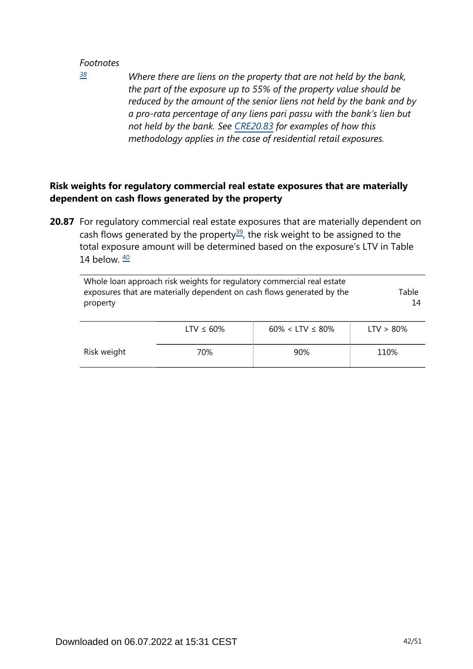<span id="page-41-0"></span>*[38](#page-40-0)*

*Where there are liens on the property that are not held by the bank, the part of the exposure up to 55% of the property value should be reduced by the amount of the senior liens not held by the bank and by a pro-rata percentage of any liens pari passu with the bank's lien but not held by the bank. See [CRE20.83](https://www.bis.org/basel_framework/chapter/CRE/20.htm?tldate=20250101&inforce=20220101&published=20191215#paragraph_CRE_20_20220101_20_83) for examples of how this methodology applies in the case of residential retail exposures.*

# **Risk weights for regulatory commercial real estate exposures that are materially dependent on cash flows generated by the property**

<span id="page-41-2"></span><span id="page-41-1"></span>**20.87** For regulatory commercial real estate exposures that are materially dependent on cash flows generated by the property<sup>[39](#page-42-0)</sup>, the risk weight to be assigned to the total exposure amount will be determined based on the exposure's LTV in Table 14 below.  $\frac{40}{2}$  $\frac{40}{2}$  $\frac{40}{2}$ 

| Whole loan approach risk weights for regulatory commercial real estate<br>exposures that are materially dependent on cash flows generated by the<br>property | Table<br>14     |                          |              |
|--------------------------------------------------------------------------------------------------------------------------------------------------------------|-----------------|--------------------------|--------------|
|                                                                                                                                                              | LTV $\leq 60\%$ | $60\% <$ LTV $\leq 80\%$ | $LTV > 80\%$ |
| Risk weight                                                                                                                                                  | 70%             | 90%                      | 110%         |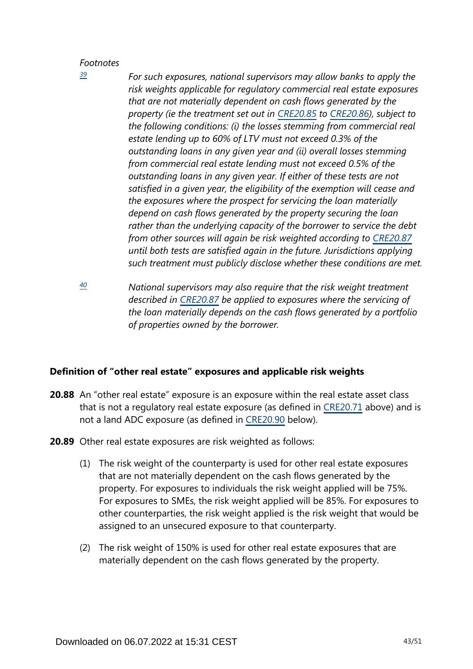<span id="page-42-0"></span>*[39](#page-41-1)*

- *For such exposures, national supervisors may allow banks to apply the risk weights applicable for regulatory commercial real estate exposures that are not materially dependent on cash flows generated by the property (ie the treatment set out in [CRE20.85](https://www.bis.org/basel_framework/chapter/CRE/20.htm?tldate=20250101&inforce=20220101&published=20191215#paragraph_CRE_20_20220101_20_85) to [CRE20.86\)](https://www.bis.org/basel_framework/chapter/CRE/20.htm?tldate=20250101&inforce=20220101&published=20191215#paragraph_CRE_20_20220101_20_86), subject to the following conditions: (i) the losses stemming from commercial real estate lending up to 60% of LTV must not exceed 0.3% of the outstanding loans in any given year and (ii) overall losses stemming from commercial real estate lending must not exceed 0.5% of the outstanding loans in any given year. If either of these tests are not satisfied in a given year, the eligibility of the exemption will cease and the exposures where the prospect for servicing the loan materially depend on cash flows generated by the property securing the loan rather than the underlying capacity of the borrower to service the debt from other sources will again be risk weighted according to [CRE20.87](https://www.bis.org/basel_framework/chapter/CRE/20.htm?tldate=20250101&inforce=20220101&published=20191215#paragraph_CRE_20_20220101_20_87) until both tests are satisfied again in the future. Jurisdictions applying such treatment must publicly disclose whether these conditions are met.*
- <span id="page-42-1"></span>*National supervisors may also require that the risk weight treatment described in [CRE20.87](https://www.bis.org/basel_framework/chapter/CRE/20.htm?tldate=20250101&inforce=20220101&published=20191215#paragraph_CRE_20_20220101_20_87) be applied to exposures where the servicing of the loan materially depends on the cash flows generated by a portfolio of properties owned by the borrower. [40](#page-41-2)*

## **Definition of "other real estate" exposures and applicable risk weights**

- **20.88** An "other real estate" exposure is an exposure within the real estate asset class that is not a regulatory real estate exposure (as defined in [CRE20.71](https://www.bis.org/basel_framework/chapter/CRE/20.htm?tldate=20250101&inforce=20220101&published=20191215#paragraph_CRE_20_20220101_20_71) above) and is not a land ADC exposure (as defined in [CRE20.90](https://www.bis.org/basel_framework/chapter/CRE/20.htm?tldate=20250101&inforce=20220101&published=20191215#paragraph_CRE_20_20220101_20_90) below).
- **20.89** Other real estate exposures are risk weighted as follows:
	- (1) The risk weight of the counterparty is used for other real estate exposures that are not materially dependent on the cash flows generated by the property. For exposures to individuals the risk weight applied will be 75%. For exposures to SMEs, the risk weight applied will be 85%. For exposures to other counterparties, the risk weight applied is the risk weight that would be assigned to an unsecured exposure to that counterparty.
	- (2) The risk weight of 150% is used for other real estate exposures that are materially dependent on the cash flows generated by the property.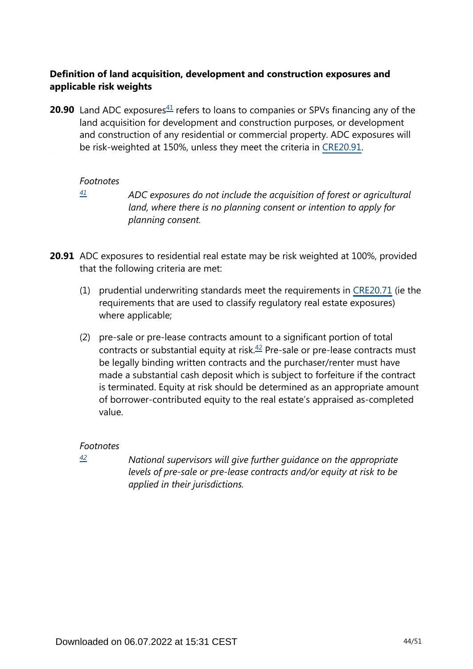# **Definition of land acquisition, development and construction exposures and applicable risk weights**

<span id="page-43-1"></span>**20.90** Land ADC exposures $41$  refers to loans to companies or SPVs financing any of the land acquisition for development and construction purposes, or development and construction of any residential or commercial property. ADC exposures will be risk-weighted at 150%, unless they meet the criteria in [CRE20.91.](https://www.bis.org/basel_framework/chapter/CRE/20.htm?tldate=20250101&inforce=20220101&published=20191215#paragraph_CRE_20_20220101_20_91)

#### *Footnotes*

<span id="page-43-0"></span>*[41](#page-43-1)*

*ADC exposures do not include the acquisition of forest or agricultural land, where there is no planning consent or intention to apply for planning consent.*

**20.91** ADC exposures to residential real estate may be risk weighted at 100%, provided that the following criteria are met:

- (1) prudential underwriting standards meet the requirements in [CRE20.71](https://www.bis.org/basel_framework/chapter/CRE/20.htm?tldate=20250101&inforce=20220101&published=20191215#paragraph_CRE_20_20220101_20_71) (ie the requirements that are used to classify regulatory real estate exposures) where applicable;
- <span id="page-43-3"></span>(2) pre-sale or pre-lease contracts amount to a significant portion of total contracts or substantial equity at risk. $42$  Pre-sale or pre-lease contracts must be legally binding written contracts and the purchaser/renter must have made a substantial cash deposit which is subject to forfeiture if the contract is terminated. Equity at risk should be determined as an appropriate amount of borrower-contributed equity to the real estate's appraised as-completed value.

## *Footnotes*

<span id="page-43-2"></span>*[42](#page-43-3)*

*National supervisors will give further guidance on the appropriate levels of pre-sale or pre-lease contracts and/or equity at risk to be applied in their jurisdictions.*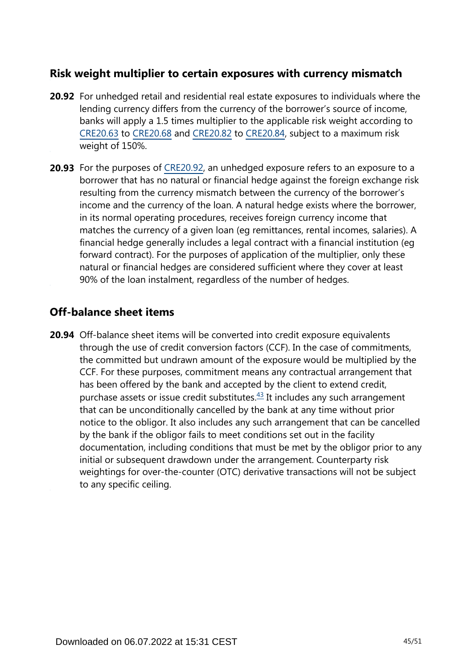# **Risk weight multiplier to certain exposures with currency mismatch**

- **20.92** For unhedged retail and residential real estate exposures to individuals where the lending currency differs from the currency of the borrower's source of income, banks will apply a 1.5 times multiplier to the applicable risk weight according to [CRE20.63](https://www.bis.org/basel_framework/chapter/CRE/20.htm?tldate=20250101&inforce=20220101&published=20191215#paragraph_CRE_20_20220101_20_63) to [CRE20.68](https://www.bis.org/basel_framework/chapter/CRE/20.htm?tldate=20250101&inforce=20220101&published=20191215#paragraph_CRE_20_20220101_20_68) and [CRE20.82](https://www.bis.org/basel_framework/chapter/CRE/20.htm?tldate=20250101&inforce=20220101&published=20191215#paragraph_CRE_20_20220101_20_82) to [CRE20.84,](https://www.bis.org/basel_framework/chapter/CRE/20.htm?tldate=20250101&inforce=20220101&published=20191215#paragraph_CRE_20_20220101_20_84) subject to a maximum risk weight of 150%.
- **20.93** For the purposes of [CRE20.92,](https://www.bis.org/basel_framework/chapter/CRE/20.htm?tldate=20250101&inforce=20220101&published=20191215#paragraph_CRE_20_20220101_20_92) an unhedged exposure refers to an exposure to a borrower that has no natural or financial hedge against the foreign exchange risk resulting from the currency mismatch between the currency of the borrower's income and the currency of the loan. A natural hedge exists where the borrower, in its normal operating procedures, receives foreign currency income that matches the currency of a given loan (eg remittances, rental incomes, salaries). A financial hedge generally includes a legal contract with a financial institution (eg forward contract). For the purposes of application of the multiplier, only these natural or financial hedges are considered sufficient where they cover at least 90% of the loan instalment, regardless of the number of hedges.

# **Off-balance sheet items**

<span id="page-44-0"></span>**20.94** Off-balance sheet items will be converted into credit exposure equivalents through the use of credit conversion factors (CCF). In the case of commitments, the committed but undrawn amount of the exposure would be multiplied by the CCF. For these purposes, commitment means any contractual arrangement that has been offered by the bank and accepted by the client to extend credit, purchase assets or issue credit substitutes. $43$  It includes any such arrangement that can be unconditionally cancelled by the bank at any time without prior notice to the obligor. It also includes any such arrangement that can be cancelled by the bank if the obligor fails to meet conditions set out in the facility documentation, including conditions that must be met by the obligor prior to any initial or subsequent drawdown under the arrangement. Counterparty risk weightings for over-the-counter (OTC) derivative transactions will not be subject to any specific ceiling.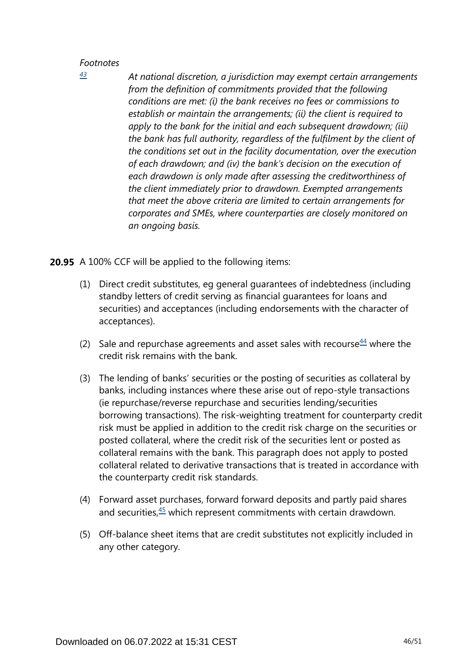*At national discretion, a jurisdiction may exempt certain arrangements from the definition of commitments provided that the following conditions are met: (i) the bank receives no fees or commissions to establish or maintain the arrangements; (ii) the client is required to apply to the bank for the initial and each subsequent drawdown; (iii) the bank has full authority, regardless of the fulfilment by the client of the conditions set out in the facility documentation, over the execution of each drawdown; and (iv) the bank's decision on the execution of each drawdown is only made after assessing the creditworthiness of the client immediately prior to drawdown. Exempted arrangements that meet the above criteria are limited to certain arrangements for corporates and SMEs, where counterparties are closely monitored on an ongoing basis.*

**20.95** A 100% CCF will be applied to the following items:

- (1) Direct credit substitutes, eg general guarantees of indebtedness (including standby letters of credit serving as financial guarantees for loans and securities) and acceptances (including endorsements with the character of acceptances).
- <span id="page-45-1"></span>(2) Sale and repurchase agreements and asset sales with recourse  $44$  where the credit risk remains with the bank.
- (3) The lending of banks' securities or the posting of securities as collateral by banks, including instances where these arise out of repo-style transactions (ie repurchase/reverse repurchase and securities lending/securities borrowing transactions). The risk-weighting treatment for counterparty credit risk must be applied in addition to the credit risk charge on the securities or posted collateral, where the credit risk of the securities lent or posted as collateral remains with the bank. This paragraph does not apply to posted collateral related to derivative transactions that is treated in accordance with the counterparty credit risk standards.
- <span id="page-45-2"></span>(4) Forward asset purchases, forward forward deposits and partly paid shares and securities, $45$  which represent commitments with certain drawdown.
- (5) Off-balance sheet items that are credit substitutes not explicitly included in any other category.

<span id="page-45-0"></span>*[<sup>43</sup>](#page-44-0)*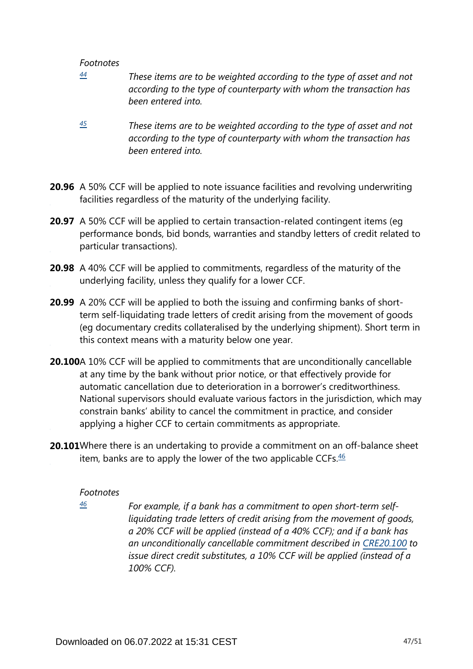- <span id="page-46-0"></span>*These items are to be weighted according to the type of asset and not according to the type of counterparty with whom the transaction has been entered into. [44](#page-45-1)*
- <span id="page-46-1"></span>*These items are to be weighted according to the type of asset and not according to the type of counterparty with whom the transaction has been entered into. [45](#page-45-2)*
- **20.96** A 50% CCF will be applied to note issuance facilities and revolving underwriting facilities regardless of the maturity of the underlying facility.
- **20.97** A 50% CCF will be applied to certain transaction-related contingent items (eg performance bonds, bid bonds, warranties and standby letters of credit related to particular transactions).
- **20.98** A 40% CCF will be applied to commitments, regardless of the maturity of the underlying facility, unless they qualify for a lower CCF.
- **20.99** A 20% CCF will be applied to both the issuing and confirming banks of shortterm self-liquidating trade letters of credit arising from the movement of goods (eg documentary credits collateralised by the underlying shipment). Short term in this context means with a maturity below one year.
- **20.100**A 10% CCF will be applied to commitments that are unconditionally cancellable at any time by the bank without prior notice, or that effectively provide for automatic cancellation due to deterioration in a borrower's creditworthiness. National supervisors should evaluate various factors in the jurisdiction, which may constrain banks' ability to cancel the commitment in practice, and consider applying a higher CCF to certain commitments as appropriate.
- <span id="page-46-3"></span><span id="page-46-2"></span>**20.101**Where there is an undertaking to provide a commitment on an off-balance sheet item, banks are to apply the lower of the two applicable CCFs. $46$

#### *Footnotes*

*[46](#page-46-3)*

*For example, if a bank has a commitment to open short-term selfliquidating trade letters of credit arising from the movement of goods, a 20% CCF will be applied (instead of a 40% CCF); and if a bank has an unconditionally cancellable commitment described in [CRE20.100](https://www.bis.org/basel_framework/chapter/CRE/20.htm?tldate=20250101&inforce=20220101&published=20191215#paragraph_CRE_20_20220101_20_100) to issue direct credit substitutes, a 10% CCF will be applied (instead of a 100% CCF).*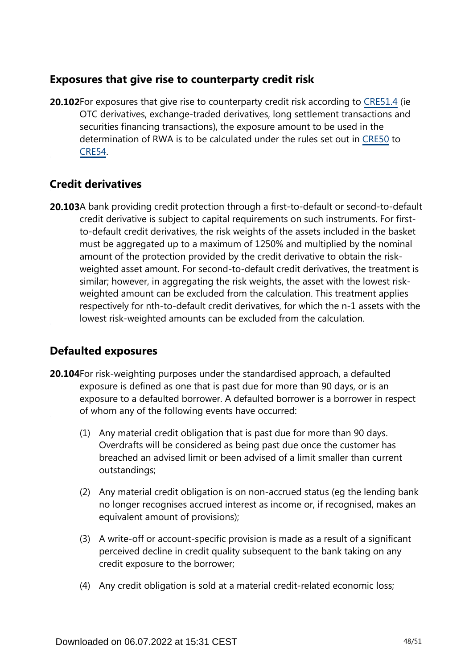# **Exposures that give rise to counterparty credit risk**

**20.102**For exposures that give rise to counterparty credit risk according to [CRE51.4](https://www.bis.org/basel_framework/chapter/CRE/51.htm?tldate=20250101&inforce=20230101&published=20200327#paragraph_CRE_51_20230101_51_4) (ie OTC derivatives, exchange-traded derivatives, long settlement transactions and securities financing transactions), the exposure amount to be used in the determination of RWA is to be calculated under the rules set out in [CRE50](https://www.bis.org/basel_framework/chapter/CRE/50.htm?tldate=20250101&inforce=20191215&published=20191215) to [CRE54.](https://www.bis.org/basel_framework/chapter/CRE/54.htm?tldate=20250101&inforce=20230101&published=20200327)

# **Credit derivatives**

**20.103**A bank providing credit protection through a first-to-default or second-to-default credit derivative is subject to capital requirements on such instruments. For firstto-default credit derivatives, the risk weights of the assets included in the basket must be aggregated up to a maximum of 1250% and multiplied by the nominal amount of the protection provided by the credit derivative to obtain the riskweighted asset amount. For second-to-default credit derivatives, the treatment is similar; however, in aggregating the risk weights, the asset with the lowest riskweighted amount can be excluded from the calculation. This treatment applies respectively for nth-to-default credit derivatives, for which the n-1 assets with the lowest risk-weighted amounts can be excluded from the calculation.

# **Defaulted exposures**

- **20.104** For risk-weighting purposes under the standardised approach, a defaulted exposure is defined as one that is past due for more than 90 days, or is an exposure to a defaulted borrower. A defaulted borrower is a borrower in respect of whom any of the following events have occurred:
	- (1) Any material credit obligation that is past due for more than 90 days. Overdrafts will be considered as being past due once the customer has breached an advised limit or been advised of a limit smaller than current outstandings;
	- (2) Any material credit obligation is on non-accrued status (eg the lending bank no longer recognises accrued interest as income or, if recognised, makes an equivalent amount of provisions);
	- (3) A write-off or account-specific provision is made as a result of a significant perceived decline in credit quality subsequent to the bank taking on any credit exposure to the borrower;
	- (4) Any credit obligation is sold at a material credit-related economic loss;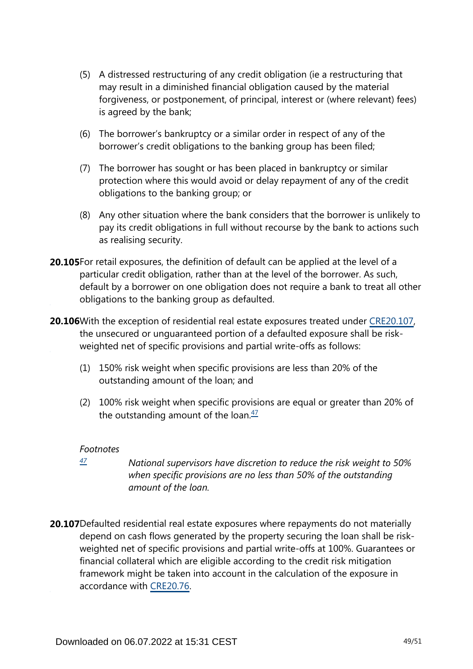- (5) A distressed restructuring of any credit obligation (ie a restructuring that may result in a diminished financial obligation caused by the material forgiveness, or postponement, of principal, interest or (where relevant) fees) is agreed by the bank;
- (6) The borrower's bankruptcy or a similar order in respect of any of the borrower's credit obligations to the banking group has been filed;
- (7) The borrower has sought or has been placed in bankruptcy or similar protection where this would avoid or delay repayment of any of the credit obligations to the banking group; or
- (8) Any other situation where the bank considers that the borrower is unlikely to pay its credit obligations in full without recourse by the bank to actions such as realising security.
- **20.105**For retail exposures, the definition of default can be applied at the level of a particular credit obligation, rather than at the level of the borrower. As such, default by a borrower on one obligation does not require a bank to treat all other obligations to the banking group as defaulted.
- **20.106** With the exception of residential real estate exposures treated under [CRE20.107,](https://www.bis.org/basel_framework/chapter/CRE/20.htm?tldate=20250101&inforce=20220101&published=20191215#paragraph_CRE_20_20220101_20_107) the unsecured or unguaranteed portion of a defaulted exposure shall be riskweighted net of specific provisions and partial write-offs as follows:
	- (1) 150% risk weight when specific provisions are less than 20% of the outstanding amount of the loan; and
	- (2) 100% risk weight when specific provisions are equal or greater than 20% of the outstanding amount of the loan. $\frac{47}{2}$  $\frac{47}{2}$  $\frac{47}{2}$

- <span id="page-48-1"></span><span id="page-48-0"></span>*National supervisors have discretion to reduce the risk weight to 50% when specific provisions are no less than 50% of the outstanding amount of the loan. [47](#page-48-1)*
- **20.107**Defaulted residential real estate exposures where repayments do not materially depend on cash flows generated by the property securing the loan shall be riskweighted net of specific provisions and partial write-offs at 100%. Guarantees or financial collateral which are eligible according to the credit risk mitigation framework might be taken into account in the calculation of the exposure in accordance with [CRE20.76](https://www.bis.org/basel_framework/chapter/CRE/20.htm?tldate=20250101&inforce=20220101&published=20191215#paragraph_CRE_20_20220101_20_76).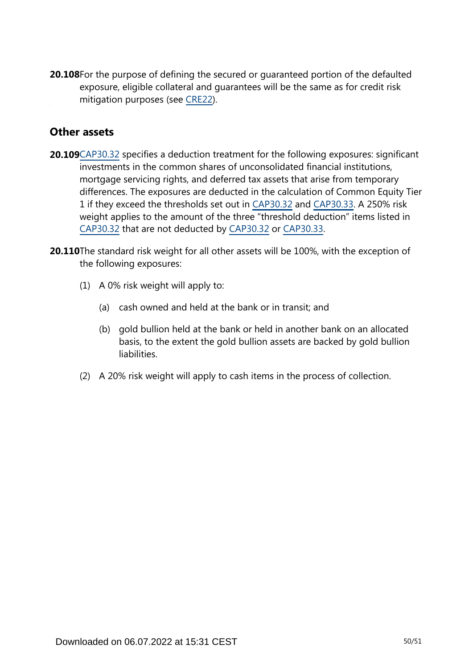**20.108**For the purpose of defining the secured or guaranteed portion of the defaulted exposure, eligible collateral and guarantees will be the same as for credit risk mitigation purposes (see [CRE22](https://www.bis.org/basel_framework/chapter/CRE/22.htm?tldate=20250101&inforce=20230101&published=20201126)).

# **Other assets**

- **20.109**[CAP30.32](https://www.bis.org/basel_framework/chapter/CAP/30.htm?tldate=20250101&inforce=20191215&published=20191215#paragraph_CAP_30_20191215_30_32) specifies a deduction treatment for the following exposures: significant investments in the common shares of unconsolidated financial institutions, mortgage servicing rights, and deferred tax assets that arise from temporary differences. The exposures are deducted in the calculation of Common Equity Tier 1 if they exceed the thresholds set out in [CAP30.32](https://www.bis.org/basel_framework/chapter/CAP/30.htm?tldate=20250101&inforce=20191215&published=20191215#paragraph_CAP_30_20191215_30_32) and [CAP30.33](https://www.bis.org/basel_framework/chapter/CAP/30.htm?tldate=20250101&inforce=20191215&published=20191215#paragraph_CAP_30_20191215_30_33). A 250% risk weight applies to the amount of the three "threshold deduction" items listed in [CAP30.32](https://www.bis.org/basel_framework/chapter/CAP/30.htm?tldate=20250101&inforce=20191215&published=20191215#paragraph_CAP_30_20191215_30_32) that are not deducted by [CAP30.32](https://www.bis.org/basel_framework/chapter/CAP/30.htm?tldate=20250101&inforce=20191215&published=20191215#paragraph_CAP_30_20191215_30_32) or [CAP30.33.](https://www.bis.org/basel_framework/chapter/CAP/30.htm?tldate=20250101&inforce=20191215&published=20191215#paragraph_CAP_30_20191215_30_33)
- **20.110**The standard risk weight for all other assets will be 100%, with the exception of the following exposures:
	- (1) A 0% risk weight will apply to:
		- (a) cash owned and held at the bank or in transit; and
		- (b) gold bullion held at the bank or held in another bank on an allocated basis, to the extent the gold bullion assets are backed by gold bullion liabilities.
	- (2) A 20% risk weight will apply to cash items in the process of collection.